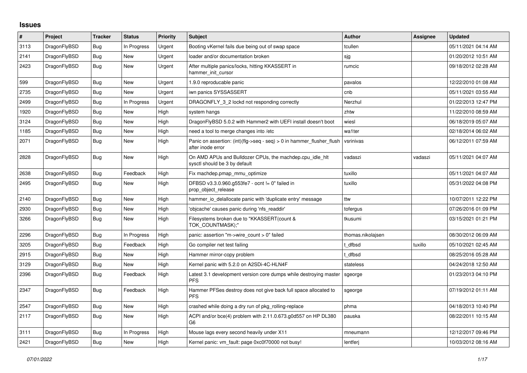## **Issues**

| #    | <b>Project</b> | <b>Tracker</b> | <b>Status</b> | <b>Priority</b> | <b>Subject</b>                                                                                | <b>Author</b>     | Assignee | <b>Updated</b>      |
|------|----------------|----------------|---------------|-----------------|-----------------------------------------------------------------------------------------------|-------------------|----------|---------------------|
| 3113 | DragonFlyBSD   | <b>Bug</b>     | In Progress   | Urgent          | Booting vKernel fails due being out of swap space                                             | tcullen           |          | 05/11/2021 04:14 AM |
| 2141 | DragonFlyBSD   | Bug            | <b>New</b>    | Urgent          | loader and/or documentation broken                                                            | sjg               |          | 01/20/2012 10:51 AM |
| 2423 | DragonFlyBSD   | <b>Bug</b>     | New           | Urgent          | After multiple panics/locks, hitting KKASSERT in<br>hammer init cursor                        | rumcic            |          | 09/18/2012 02:28 AM |
| 599  | DragonFlyBSD   | <b>Bug</b>     | New           | Urgent          | 1.9.0 reproducable panic                                                                      | pavalos           |          | 12/22/2010 01:08 AM |
| 2735 | DragonFlyBSD   | Bug            | New           | Urgent          | iwn panics SYSSASSERT                                                                         | cnb               |          | 05/11/2021 03:55 AM |
| 2499 | DragonFlyBSD   | <b>Bug</b>     | In Progress   | Urgent          | DRAGONFLY 3 2 lockd not responding correctly                                                  | Nerzhul           |          | 01/22/2013 12:47 PM |
| 1920 | DragonFlyBSD   | Bug            | New           | High            | system hangs                                                                                  | zhtw              |          | 11/22/2010 08:59 AM |
| 3124 | DragonFlyBSD   | Bug            | New           | High            | DragonFlyBSD 5.0.2 with Hammer2 with UEFI install doesn't boot                                | wiesl             |          | 06/18/2019 05:07 AM |
| 1185 | DragonFlyBSD   | Bug            | <b>New</b>    | High            | need a tool to merge changes into /etc                                                        | wa1ter            |          | 02/18/2014 06:02 AM |
| 2071 | DragonFlyBSD   | <b>Bug</b>     | New           | High            | Panic on assertion: $(int)(flag->seq - seq) > 0$ in hammer flusher flush<br>after inode error | vsrinivas         |          | 06/12/2011 07:59 AM |
| 2828 | DragonFlyBSD   | Bug            | <b>New</b>    | High            | On AMD APUs and Bulldozer CPUs, the machdep.cpu_idle_hlt<br>sysctl should be 3 by default     | vadaszi           | vadaszi  | 05/11/2021 04:07 AM |
| 2638 | DragonFlyBSD   | <b>Bug</b>     | Feedback      | High            | Fix machdep.pmap_mmu_optimize                                                                 | tuxillo           |          | 05/11/2021 04:07 AM |
| 2495 | DragonFlyBSD   | <b>Bug</b>     | New           | High            | DFBSD v3.3.0.960.g553fe7 - ocnt != 0" failed in<br>prop_object_release                        | tuxillo           |          | 05/31/2022 04:08 PM |
| 2140 | DragonFlyBSD   | Bug            | <b>New</b>    | High            | hammer io delallocate panic with 'duplicate entry' message                                    | ttw               |          | 10/07/2011 12:22 PM |
| 2930 | DragonFlyBSD   | Bug            | New           | High            | 'objcache' causes panic during 'nfs_readdir'                                                  | tofergus          |          | 07/26/2016 01:09 PM |
| 3266 | DragonFlyBSD   | <b>Bug</b>     | New           | High            | Filesystems broken due to "KKASSERT(count &<br>TOK COUNTMASK);"                               | tkusumi           |          | 03/15/2021 01:21 PM |
| 2296 | DragonFlyBSD   | Bug            | In Progress   | High            | panic: assertion "m->wire count > 0" failed                                                   | thomas.nikolajsen |          | 08/30/2012 06:09 AM |
| 3205 | DragonFlyBSD   | Bug            | Feedback      | High            | Go compiler net test failing                                                                  | t dfbsd           | tuxillo  | 05/10/2021 02:45 AM |
| 2915 | DragonFlyBSD   | Bug            | New           | High            | Hammer mirror-copy problem                                                                    | t dfbsd           |          | 08/25/2016 05:28 AM |
| 3129 | DragonFlyBSD   | <b>Bug</b>     | New           | High            | Kernel panic with 5.2.0 on A2SDi-4C-HLN4F                                                     | stateless         |          | 04/24/2018 12:50 AM |
| 2396 | DragonFlyBSD   | Bug            | Feedback      | High            | Latest 3.1 development version core dumps while destroying master<br><b>PFS</b>               | sgeorge           |          | 01/23/2013 04:10 PM |
| 2347 | DragonFlyBSD   | <b>Bug</b>     | Feedback      | High            | Hammer PFSes destroy does not give back full space allocated to<br><b>PFS</b>                 | sgeorge           |          | 07/19/2012 01:11 AM |
| 2547 | DragonFlyBSD   | <b>Bug</b>     | <b>New</b>    | High            | crashed while doing a dry run of pkg_rolling-replace                                          | phma              |          | 04/18/2013 10:40 PM |
| 2117 | DragonFlyBSD   | Bug            | New           | High            | ACPI and/or bce(4) problem with 2.11.0.673.g0d557 on HP DL380<br>G6                           | pauska            |          | 08/22/2011 10:15 AM |
| 3111 | DragonFlyBSD   | <b>Bug</b>     | In Progress   | High            | Mouse lags every second heavily under X11                                                     | mneumann          |          | 12/12/2017 09:46 PM |
| 2421 | DragonFlyBSD   | Bug            | New           | High            | Kernel panic: vm_fault: page 0xc0f70000 not busy!                                             | lentferj          |          | 10/03/2012 08:16 AM |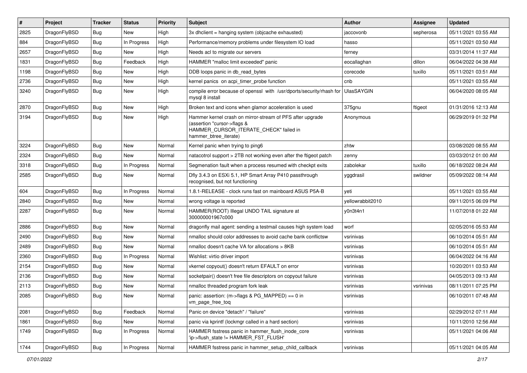| $\vert$ # | Project      | <b>Tracker</b> | <b>Status</b> | Priority | <b>Subject</b>                                                                                                                                              | <b>Author</b>    | <b>Assignee</b> | <b>Updated</b>      |
|-----------|--------------|----------------|---------------|----------|-------------------------------------------------------------------------------------------------------------------------------------------------------------|------------------|-----------------|---------------------|
| 2825      | DragonFlyBSD | Bug            | New           | High     | 3x dhclient = hanging system (objcache exhausted)                                                                                                           | jaccovonb        | sepherosa       | 05/11/2021 03:55 AM |
| 884       | DragonFlyBSD | <b>Bug</b>     | In Progress   | High     | Performance/memory problems under filesystem IO load                                                                                                        | hasso            |                 | 05/11/2021 03:50 AM |
| 2657      | DragonFlyBSD | <b>Bug</b>     | New           | High     | Needs acl to migrate our servers                                                                                                                            | ferney           |                 | 03/31/2014 11:37 AM |
| 1831      | DragonFlyBSD | <b>Bug</b>     | Feedback      | High     | HAMMER "malloc limit exceeded" panic                                                                                                                        | eocallaghan      | dillon          | 06/04/2022 04:38 AM |
| 1198      | DragonFlyBSD | <b>Bug</b>     | <b>New</b>    | High     | DDB loops panic in db_read_bytes                                                                                                                            | corecode         | tuxillo         | 05/11/2021 03:51 AM |
| 2736      | DragonFlyBSD | <b>Bug</b>     | New           | High     | kernel panics on acpi timer probe function                                                                                                                  | cnb              |                 | 05/11/2021 03:55 AM |
| 3240      | DragonFlyBSD | Bug            | New           | High     | compile error because of openssl with /usr/dports/security/rhash for<br>mysql 8 install                                                                     | UlasSAYGIN       |                 | 06/04/2020 08:05 AM |
| 2870      | DragonFlyBSD | Bug            | New           | High     | Broken text and icons when glamor acceleration is used                                                                                                      | 375gnu           | ftigeot         | 01/31/2016 12:13 AM |
| 3194      | DragonFlyBSD | Bug            | New           | High     | Hammer kernel crash on mirror-stream of PFS after upgrade<br>(assertion "cursor->flags &<br>HAMMER_CURSOR_ITERATE_CHECK" failed in<br>hammer_btree_iterate) | Anonymous        |                 | 06/29/2019 01:32 PM |
| 3224      | DragonFlyBSD | <b>Bug</b>     | New           | Normal   | Kernel panic when trying to ping6                                                                                                                           | zhtw             |                 | 03/08/2020 08:55 AM |
| 2324      | DragonFlyBSD | <b>Bug</b>     | New           | Normal   | natacotrol support > 2TB not working even after the ftigeot patch                                                                                           | zenny            |                 | 03/03/2012 01:00 AM |
| 3318      | DragonFlyBSD | <b>Bug</b>     | In Progress   | Normal   | Segmenation fault when a process resumed with checkpt exits                                                                                                 | zabolekar        | tuxillo         | 06/18/2022 08:24 AM |
| 2585      | DragonFlyBSD | <b>Bug</b>     | New           | Normal   | Dfly 3.4.3 on ESXi 5.1, HP Smart Array P410 passthrough<br>recognised, but not functioning                                                                  | yggdrasil        | swildner        | 05/09/2022 08:14 AM |
| 604       | DragonFlyBSD | <b>Bug</b>     | In Progress   | Normal   | 1.8.1-RELEASE - clock runs fast on mainboard ASUS P5A-B                                                                                                     | yeti             |                 | 05/11/2021 03:55 AM |
| 2840      | DragonFlyBSD | <b>Bug</b>     | New           | Normal   | wrong voltage is reported                                                                                                                                   | yellowrabbit2010 |                 | 09/11/2015 06:09 PM |
| 2287      | DragonFlyBSD | <b>Bug</b>     | <b>New</b>    | Normal   | HAMMER(ROOT) Illegal UNDO TAIL signature at<br>300000001967c000                                                                                             | y0n3t4n1         |                 | 11/07/2018 01:22 AM |
| 2886      | DragonFlyBSD | <b>Bug</b>     | New           | Normal   | dragonfly mail agent: sending a testmail causes high system load                                                                                            | worf             |                 | 02/05/2016 05:53 AM |
| 2490      | DragonFlyBSD | <b>Bug</b>     | New           | Normal   | nmalloc should color addresses to avoid cache bank conflictsw                                                                                               | vsrinivas        |                 | 06/10/2014 05:51 AM |
| 2489      | DragonFlyBSD | <b>Bug</b>     | New           | Normal   | nmalloc doesn't cache VA for allocations > 8KB                                                                                                              | vsrinivas        |                 | 06/10/2014 05:51 AM |
| 2360      | DragonFlyBSD | <b>Bug</b>     | In Progress   | Normal   | Wishlist: virtio driver import                                                                                                                              | vsrinivas        |                 | 06/04/2022 04:16 AM |
| 2154      | DragonFlyBSD | Bug            | New           | Normal   | vkernel copyout() doesn't return EFAULT on error                                                                                                            | vsrinivas        |                 | 10/20/2011 03:53 AM |
| 2136      | DragonFlyBSD | <b>Bug</b>     | New           | Normal   | socketpair() doesn't free file descriptors on copyout failure                                                                                               | vsrinivas        |                 | 04/05/2013 09:13 AM |
| 2113      | DragonFlyBSD | Bug            | <b>New</b>    | Normal   | nmalloc threaded program fork leak                                                                                                                          | vsrinivas        | vsrinivas       | 08/11/2011 07:25 PM |
| 2085      | DragonFlyBSD | Bug            | <b>New</b>    | Normal   | panic: assertion: (m->flags & PG_MAPPED) == 0 in<br>vm page free tog                                                                                        | vsrinivas        |                 | 06/10/2011 07:48 AM |
| 2081      | DragonFlyBSD | <b>Bug</b>     | Feedback      | Normal   | Panic on device "detach" / "failure"                                                                                                                        | vsrinivas        |                 | 02/29/2012 07:11 AM |
| 1861      | DragonFlyBSD | <b>Bug</b>     | New           | Normal   | panic via kprintf (lockmgr called in a hard section)                                                                                                        | vsrinivas        |                 | 10/11/2010 12:56 AM |
| 1749      | DragonFlyBSD | <b>Bug</b>     | In Progress   | Normal   | HAMMER fsstress panic in hammer_flush_inode_core<br>'ip->flush_state != HAMMER_FST_FLUSH'                                                                   | vsrinivas        |                 | 05/11/2021 04:06 AM |
| 1744      | DragonFlyBSD | Bug            | In Progress   | Normal   | HAMMER fsstress panic in hammer_setup_child_callback                                                                                                        | vsrinivas        |                 | 05/11/2021 04:05 AM |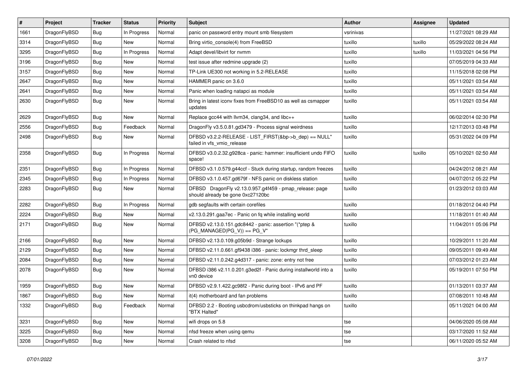| $\vert$ # | Project      | <b>Tracker</b> | <b>Status</b> | <b>Priority</b> | <b>Subject</b>                                                                               | <b>Author</b> | <b>Assignee</b> | <b>Updated</b>      |
|-----------|--------------|----------------|---------------|-----------------|----------------------------------------------------------------------------------------------|---------------|-----------------|---------------------|
| 1661      | DragonFlyBSD | <b>Bug</b>     | In Progress   | Normal          | panic on password entry mount smb filesystem                                                 | vsrinivas     |                 | 11/27/2021 08:29 AM |
| 3314      | DragonFlyBSD | <b>Bug</b>     | New           | Normal          | Bring virtio_console(4) from FreeBSD                                                         | tuxillo       | tuxillo         | 05/29/2022 08:24 AM |
| 3295      | DragonFlyBSD | <b>Bug</b>     | In Progress   | Normal          | Adapt devel/libvirt for nvmm                                                                 | tuxillo       | tuxillo         | 11/03/2021 04:56 PM |
| 3196      | DragonFlyBSD | Bug            | <b>New</b>    | Normal          | test issue after redmine upgrade (2)                                                         | tuxillo       |                 | 07/05/2019 04:33 AM |
| 3157      | DragonFlyBSD | <b>Bug</b>     | <b>New</b>    | Normal          | TP-Link UE300 not working in 5.2-RELEASE                                                     | tuxillo       |                 | 11/15/2018 02:08 PM |
| 2647      | DragonFlyBSD | <b>Bug</b>     | <b>New</b>    | Normal          | HAMMER panic on 3.6.0                                                                        | tuxillo       |                 | 05/11/2021 03:54 AM |
| 2641      | DragonFlyBSD | Bug            | <b>New</b>    | Normal          | Panic when loading natapci as module                                                         | tuxillo       |                 | 05/11/2021 03:54 AM |
| 2630      | DragonFlyBSD | Bug            | <b>New</b>    | Normal          | Bring in latest iconv fixes from FreeBSD10 as well as csmapper<br>updates                    | tuxillo       |                 | 05/11/2021 03:54 AM |
| 2629      | DragonFlyBSD | Bug            | New           | Normal          | Replace gcc44 with llvm34, clang34, and libc++                                               | tuxillo       |                 | 06/02/2014 02:30 PM |
| 2556      | DragonFlyBSD | <b>Bug</b>     | Feedback      | Normal          | DragonFly v3.5.0.81.gd3479 - Process signal weirdness                                        | tuxillo       |                 | 12/17/2013 03:48 PM |
| 2498      | DragonFlyBSD | Bug            | New           | Normal          | DFBSD v3.2.2-RELEASE - LIST_FIRST(&bp->b_dep) == NULL"<br>failed in vfs_vmio_release         | tuxillo       |                 | 05/31/2022 04:09 PM |
| 2358      | DragonFlyBSD | Bug            | In Progress   | Normal          | DFBSD v3.0.2.32.g928ca - panic: hammer: insufficient undo FIFO<br>space!                     | tuxillo       | tuxillo         | 05/10/2021 02:50 AM |
| 2351      | DragonFlyBSD | <b>Bug</b>     | In Progress   | Normal          | DFBSD v3.1.0.579.g44ccf - Stuck during startup, random freezes                               | tuxillo       |                 | 04/24/2012 08:21 AM |
| 2345      | DragonFlyBSD | <b>Bug</b>     | In Progress   | Normal          | DFBSD v3.1.0.457.gd679f - NFS panic on diskless station                                      | tuxillo       |                 | 04/07/2012 05:22 PM |
| 2283      | DragonFlyBSD | <b>Bug</b>     | New           | Normal          | DFBSD DragonFly v2.13.0.957.g4f459 - pmap_release: page<br>should already be gone 0xc27120bc | tuxillo       |                 | 01/23/2012 03:03 AM |
| 2282      | DragonFlyBSD | Bug            | In Progress   | Normal          | gdb segfaults with certain corefiles                                                         | tuxillo       |                 | 01/18/2012 04:40 PM |
| 2224      | DragonFlyBSD | Bug            | <b>New</b>    | Normal          | v2.13.0.291.gaa7ec - Panic on fq while installing world                                      | tuxillo       |                 | 11/18/2011 01:40 AM |
| 2171      | DragonFlyBSD | <b>Bug</b>     | New           | Normal          | DFBSD v2.13.0.151.gdc8442 - panic: assertion "(*ptep &<br>$(PG_MANAGED PG_V)) == PG_V"$      | tuxillo       |                 | 11/04/2011 05:06 PM |
| 2166      | DragonFlyBSD | <b>Bug</b>     | <b>New</b>    | Normal          | DFBSD v2.13.0.109.g05b9d - Strange lockups                                                   | tuxillo       |                 | 10/29/2011 11:20 AM |
| 2129      | DragonFlyBSD | Bug            | <b>New</b>    | Normal          | DFBSD v2.11.0.661.gf9438 i386 - panic: lockmgr thrd_sleep                                    | tuxillo       |                 | 09/05/2011 09:49 AM |
| 2084      | DragonFlyBSD | Bug            | <b>New</b>    | Normal          | DFBSD v2.11.0.242.g4d317 - panic: zone: entry not free                                       | tuxillo       |                 | 07/03/2012 01:23 AM |
| 2078      | DragonFlyBSD | Bug            | New           | Normal          | DFBSD i386 v2.11.0.201.g3ed2f - Panic during installworld into a<br>vn0 device               | tuxillo       |                 | 05/19/2011 07:50 PM |
| 1959      | DragonFlyBSD | Bug            | <b>New</b>    | Normal          | DFBSD v2.9.1.422.gc98f2 - Panic during boot - IPv6 and PF                                    | tuxillo       |                 | 01/13/2011 03:37 AM |
| 1867      | DragonFlyBSD | Bug            | New           | Normal          | it(4) motherboard and fan problems                                                           | tuxillo       |                 | 07/08/2011 10:48 AM |
| 1332      | DragonFlyBSD | Bug            | Feedback      | Normal          | DFBSD 2.2 - Booting usbcdrom/usbsticks on thinkpad hangs on<br>"BTX Halted"                  | tuxillo       |                 | 05/11/2021 04:00 AM |
| 3231      | DragonFlyBSD | <b>Bug</b>     | New           | Normal          | wifi drops on 5.8                                                                            | tse           |                 | 04/06/2020 05:08 AM |
| 3225      | DragonFlyBSD | Bug            | New           | Normal          | nfsd freeze when using qemu                                                                  | tse           |                 | 03/17/2020 11:52 AM |
| 3208      | DragonFlyBSD | <b>Bug</b>     | New           | Normal          | Crash related to nfsd                                                                        | tse           |                 | 06/11/2020 05:52 AM |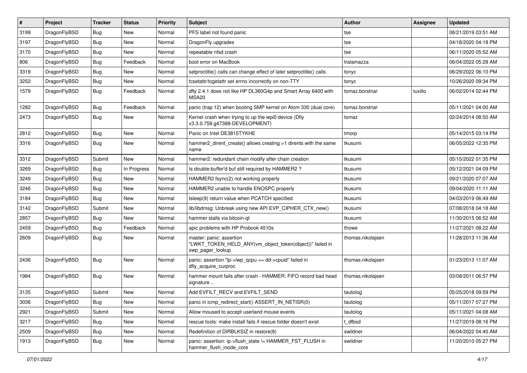| $\sharp$ | Project      | <b>Tracker</b> | <b>Status</b> | <b>Priority</b> | Subject                                                                                                  | <b>Author</b>     | Assignee | <b>Updated</b>      |
|----------|--------------|----------------|---------------|-----------------|----------------------------------------------------------------------------------------------------------|-------------------|----------|---------------------|
| 3199     | DragonFlyBSD | Bug            | New           | Normal          | PFS label not found panic                                                                                | tse               |          | 08/21/2019 03:51 AM |
| 3197     | DragonFlyBSD | Bug            | New           | Normal          | DragonFly upgrades                                                                                       | tse               |          | 04/18/2020 04:18 PM |
| 3170     | DragonFlyBSD | Bug            | New           | Normal          | repeatable nfsd crash                                                                                    | tse               |          | 06/11/2020 05:52 AM |
| 806      | DragonFlyBSD | Bug            | Feedback      | Normal          | boot error on MacBook                                                                                    | tralamazza        |          | 06/04/2022 05:28 AM |
| 3319     | DragonFlyBSD | <b>Bug</b>     | New           | Normal          | setproctitle() calls can change effect of later setproctitle() calls                                     | tonyc             |          | 06/29/2022 06:10 PM |
| 3252     | DragonFlyBSD | Bug            | New           | Normal          | tcsetattr/tcgetattr set errno incorrectly on non-TTY                                                     | tonyc             |          | 10/26/2020 09:34 PM |
| 1579     | DragonFlyBSD | <b>Bug</b>     | Feedback      | Normal          | dfly 2.4.1 does not like HP DL360G4p and Smart Array 6400 with<br>MSA20                                  | tomaz.borstnar    | tuxillo  | 06/02/2014 02:44 PM |
| 1282     | DragonFlyBSD | Bug            | Feedback      | Normal          | panic (trap 12) when booting SMP kernel on Atom 330 (dual core)                                          | tomaz.borstnar    |          | 05/11/2021 04:00 AM |
| 2473     | DragonFlyBSD | Bug            | New           | Normal          | Kernel crash when trying to up the wpi0 device (Dfly<br>v3.3.0.758.g47388-DEVELOPMENT)                   | tomaz             |          | 02/24/2014 08:50 AM |
| 2812     | DragonFlyBSD | Bug            | <b>New</b>    | Normal          | Panic on Intel DE3815TYKHE                                                                               | tmorp             |          | 05/14/2015 03:14 PM |
| 3316     | DragonFlyBSD | Bug            | New           | Normal          | hammer2_dirent_create() allows creating >1 dirents with the same<br>name                                 | tkusumi           |          | 06/05/2022 12:35 PM |
| 3312     | DragonFlyBSD | Submit         | New           | Normal          | hammer2: redundant chain modify after chain creation                                                     | tkusumi           |          | 05/15/2022 01:35 PM |
| 3269     | DragonFlyBSD | Bug            | In Progress   | Normal          | Is double-buffer'd buf still required by HAMMER2 ?                                                       | tkusumi           |          | 05/12/2021 04:09 PM |
| 3249     | DragonFlyBSD | <b>Bug</b>     | New           | Normal          | HAMMER2 fsync(2) not working properly                                                                    | tkusumi           |          | 09/21/2020 07:07 AM |
| 3246     | DragonFlyBSD | <b>Bug</b>     | <b>New</b>    | Normal          | HAMMER2 unable to handle ENOSPC properly                                                                 | tkusumi           |          | 09/04/2020 11:11 AM |
| 3184     | DragonFlyBSD | Bug            | <b>New</b>    | Normal          | tsleep(9) return value when PCATCH specified                                                             | tkusumi           |          | 04/03/2019 06:49 AM |
| 3142     | DragonFlyBSD | Submit         | New           | Normal          | lib/libdmsg: Unbreak using new API EVP_CIPHER_CTX_new()                                                  | tkusumi           |          | 07/08/2018 04:18 AM |
| 2857     | DragonFlyBSD | Bug            | New           | Normal          | hammer stalls via bitcoin-qt                                                                             | tkusumi           |          | 11/30/2015 06:52 AM |
| 2459     | DragonFlyBSD | <b>Bug</b>     | Feedback      | Normal          | apic problems with HP Probook 4510s                                                                      | thowe             |          | 11/27/2021 08:22 AM |
| 2609     | DragonFlyBSD | <b>Bug</b>     | New           | Normal          | master: panic: assertion<br>"LWKT_TOKEN_HELD_ANY(vm_object_token(object))" failed in<br>swp pager lookup | thomas.nikolajsen |          | 11/28/2013 11:36 AM |
| 2436     | DragonFlyBSD | Bug            | New           | Normal          | panic: assertion "lp->lwp_qcpu == dd->cpuid" failed in<br>dfly_acquire_curproc                           | thomas.nikolajsen |          | 01/23/2013 11:07 AM |
| 1984     | DragonFlyBSD | Bug            | New           | Normal          | hammer mount fails after crash - HAMMER: FIFO record bad head<br>signature                               | thomas.nikolajsen |          | 03/08/2011 06:57 PM |
| 3135     | DragonFlyBSD | Submit         | New           | Normal          | Add EVFILT_RECV and EVFILT_SEND                                                                          | tautolog          |          | 05/25/2018 09:59 PM |
| 3036     | DragonFlyBSD | <b>Bug</b>     | New           | Normal          | panic in icmp_redirect_start() ASSERT_IN_NETISR(0)                                                       | tautolog          |          | 05/11/2017 07:27 PM |
| 2921     | DragonFlyBSD | Submit         | <b>New</b>    | Normal          | Allow moused to accept userland mouse events                                                             | tautolog          |          | 05/11/2021 04:08 AM |
| 3217     | DragonFlyBSD | <b>Bug</b>     | New           | Normal          | rescue tools: make install fails if rescue folder doesn't exist                                          | t dfbsd           |          | 11/27/2019 08:16 PM |
| 2509     | DragonFlyBSD | <b>Bug</b>     | <b>New</b>    | Normal          | Redefinition of DIRBLKSIZ in restore(8)                                                                  | swildner          |          | 06/04/2022 04:40 AM |
| 1913     | DragonFlyBSD | <b>Bug</b>     | New           | Normal          | panic: assertion: ip->flush_state != HAMMER_FST_FLUSH in<br>hammer_flush_inode_core                      | swildner          |          | 11/20/2010 05:27 PM |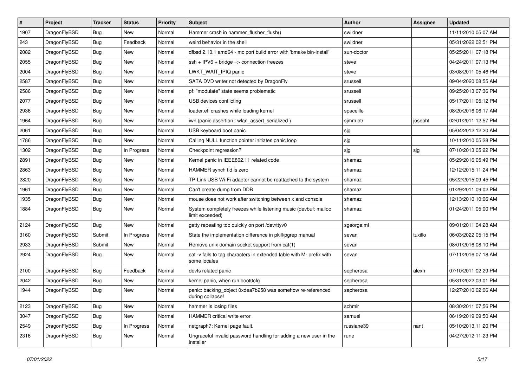| $\sharp$ | Project      | <b>Tracker</b> | <b>Status</b> | <b>Priority</b> | Subject                                                                              | <b>Author</b> | Assignee | <b>Updated</b>      |
|----------|--------------|----------------|---------------|-----------------|--------------------------------------------------------------------------------------|---------------|----------|---------------------|
| 1907     | DragonFlyBSD | <b>Bug</b>     | New           | Normal          | Hammer crash in hammer_flusher_flush()                                               | swildner      |          | 11/11/2010 05:07 AM |
| 243      | DragonFlyBSD | Bug            | Feedback      | Normal          | weird behavior in the shell                                                          | swildner      |          | 05/31/2022 02:51 PM |
| 2082     | DragonFlyBSD | <b>Bug</b>     | New           | Normal          | dfbsd 2.10.1 amd64 - mc port build error with 'bmake bin-install'                    | sun-doctor    |          | 05/25/2011 07:18 PM |
| 2055     | DragonFlyBSD | <b>Bug</b>     | New           | Normal          | $ssh + IPV6 + bridge \Rightarrow connection freezes$                                 | steve         |          | 04/24/2011 07:13 PM |
| 2004     | DragonFlyBSD | <b>Bug</b>     | <b>New</b>    | Normal          | LWKT_WAIT_IPIQ panic                                                                 | steve         |          | 03/08/2011 05:46 PM |
| 2587     | DragonFlyBSD | <b>Bug</b>     | <b>New</b>    | Normal          | SATA DVD writer not detected by DragonFly                                            | srussell      |          | 09/04/2020 08:55 AM |
| 2586     | DragonFlyBSD | <b>Bug</b>     | New           | Normal          | pf: "modulate" state seems problematic                                               | srussell      |          | 09/25/2013 07:36 PM |
| 2077     | DragonFlyBSD | <b>Bug</b>     | New           | Normal          | USB devices conflicting                                                              | srussell      |          | 05/17/2011 05:12 PM |
| 2936     | DragonFlyBSD | <b>Bug</b>     | New           | Normal          | loader.efi crashes while loading kernel                                              | spaceille     |          | 08/20/2016 06:17 AM |
| 1964     | DragonFlyBSD | <b>Bug</b>     | New           | Normal          | iwn (panic assertion : wlan_assert_serialized)                                       | sjmm.ptr      | josepht  | 02/01/2011 12:57 PM |
| 2061     | DragonFlyBSD | <b>Bug</b>     | New           | Normal          | USB keyboard boot panic                                                              | sjg           |          | 05/04/2012 12:20 AM |
| 1786     | DragonFlyBSD | <b>Bug</b>     | <b>New</b>    | Normal          | Calling NULL function pointer initiates panic loop                                   | sjg           |          | 10/11/2010 05:28 PM |
| 1302     | DragonFlyBSD | Bug            | In Progress   | Normal          | Checkpoint regression?                                                               | sjg           | sjg      | 07/10/2013 05:22 PM |
| 2891     | DragonFlyBSD | <b>Bug</b>     | <b>New</b>    | Normal          | Kernel panic in IEEE802.11 related code                                              | shamaz        |          | 05/29/2016 05:49 PM |
| 2863     | DragonFlyBSD | <b>Bug</b>     | New           | Normal          | HAMMER synch tid is zero                                                             | shamaz        |          | 12/12/2015 11:24 PM |
| 2820     | DragonFlyBSD | <b>Bug</b>     | New           | Normal          | TP-Link USB Wi-Fi adapter cannot be reattached to the system                         | shamaz        |          | 05/22/2015 09:45 PM |
| 1961     | DragonFlyBSD | <b>Bug</b>     | New           | Normal          | Can't create dump from DDB                                                           | shamaz        |          | 01/29/2011 09:02 PM |
| 1935     | DragonFlyBSD | <b>Bug</b>     | <b>New</b>    | Normal          | mouse does not work after switching between x and console                            | shamaz        |          | 12/13/2010 10:06 AM |
| 1884     | DragonFlyBSD | <b>Bug</b>     | <b>New</b>    | Normal          | System completely freezes while listening music (devbuf: malloc<br>limit exceeded)   | shamaz        |          | 01/24/2011 05:00 PM |
| 2124     | DragonFlyBSD | Bug            | <b>New</b>    | Normal          | getty repeating too quickly on port /dev/ttyv0                                       | sgeorge.ml    |          | 09/01/2011 04:28 AM |
| 3160     | DragonFlyBSD | Submit         | In Progress   | Normal          | State the implementation difference in pkill/pgrep manual                            | sevan         | tuxillo  | 06/03/2022 05:15 PM |
| 2933     | DragonFlyBSD | Submit         | New           | Normal          | Remove unix domain socket support from cat(1)                                        | sevan         |          | 08/01/2016 08:10 PM |
| 2924     | DragonFlyBSD | <b>Bug</b>     | New           | Normal          | cat -v fails to tag characters in extended table with M- prefix with<br>some locales | sevan         |          | 07/11/2016 07:18 AM |
| 2100     | DragonFlyBSD | <b>Bug</b>     | Feedback      | Normal          | devfs related panic                                                                  | sepherosa     | alexh    | 07/10/2011 02:29 PM |
| 2042     | DragonFlyBSD | <b>Bug</b>     | <b>New</b>    | Normal          | kernel panic, when run boot0cfg                                                      | sepherosa     |          | 05/31/2022 03:01 PM |
| 1944     | DragonFlyBSD | <b>Bug</b>     | New           | Normal          | panic: backing_object 0xdea7b258 was somehow re-referenced<br>during collapse!       | sepherosa     |          | 12/27/2010 02:06 AM |
| 2123     | DragonFlyBSD | Bug            | New           | Normal          | hammer is losing files                                                               | schmir        |          | 08/30/2011 07:56 PM |
| 3047     | DragonFlyBSD | <b>Bug</b>     | New           | Normal          | HAMMER critical write error                                                          | samuel        |          | 06/19/2019 09:50 AM |
| 2549     | DragonFlyBSD | <b>Bug</b>     | In Progress   | Normal          | netgraph7: Kernel page fault.                                                        | russiane39    | nant     | 05/10/2013 11:20 PM |
| 2316     | DragonFlyBSD | <b>Bug</b>     | New           | Normal          | Ungraceful invalid password handling for adding a new user in the<br>installer       | rune          |          | 04/27/2012 11:23 PM |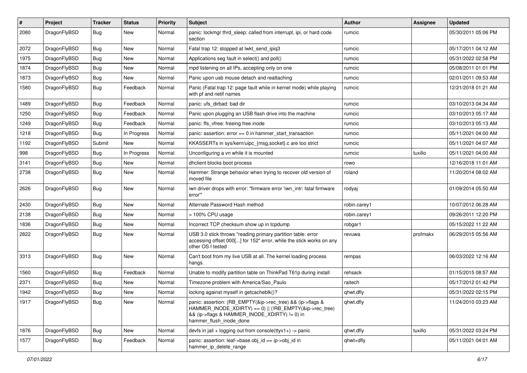| ∦    | Project      | <b>Tracker</b> | <b>Status</b> | <b>Priority</b> | <b>Subject</b>                                                                                                                                                                                    | Author       | Assignee | <b>Updated</b>      |
|------|--------------|----------------|---------------|-----------------|---------------------------------------------------------------------------------------------------------------------------------------------------------------------------------------------------|--------------|----------|---------------------|
| 2080 | DragonFlyBSD | Bug            | New           | Normal          | panic: lockmgr thrd_sleep: called from interrupt, ipi, or hard code<br>section                                                                                                                    | rumcic       |          | 05/30/2011 05:06 PM |
| 2072 | DragonFlyBSD | <b>Bug</b>     | <b>New</b>    | Normal          | Fatal trap 12: stopped at lwkt send ipig3                                                                                                                                                         | rumcic       |          | 05/17/2011 04:12 AM |
| 1975 | DragonFlyBSD | Bug            | <b>New</b>    | Normal          | Applications seg fault in select() and poll()                                                                                                                                                     | rumcic       |          | 05/31/2022 02:58 PM |
| 1874 | DragonFlyBSD | <b>Bug</b>     | <b>New</b>    | Normal          | mpd listening on all IPs, accepting only on one                                                                                                                                                   | rumcic       |          | 05/08/2011 01:01 PM |
| 1873 | DragonFlyBSD | <b>Bug</b>     | New           | Normal          | Panic upon usb mouse detach and reattaching                                                                                                                                                       | rumcic       |          | 02/01/2011 09:53 AM |
| 1580 | DragonFlyBSD | <b>Bug</b>     | Feedback      | Normal          | Panic (Fatal trap 12: page fault while in kernel mode) while playing<br>with pf and netif names                                                                                                   | rumcic       |          | 12/21/2018 01:21 AM |
| 1489 | DragonFlyBSD | Bug            | Feedback      | Normal          | panic: ufs dirbad: bad dir                                                                                                                                                                        | rumcic       |          | 03/10/2013 04:34 AM |
| 1250 | DragonFlyBSD | <b>Bug</b>     | Feedback      | Normal          | Panic upon plugging an USB flash drive into the machine                                                                                                                                           | rumcic       |          | 03/10/2013 05:17 AM |
| 1249 | DragonFlyBSD | <b>Bug</b>     | Feedback      | Normal          | panic: ffs vfree: freeing free inode                                                                                                                                                              | rumcic       |          | 03/10/2013 05:13 AM |
| 1218 | DragonFlyBSD | Bug            | In Progress   | Normal          | panic: assertion: $error == 0$ in hammer start transaction                                                                                                                                        | rumcic       |          | 05/11/2021 04:00 AM |
| 1192 | DragonFlyBSD | Submit         | <b>New</b>    | Normal          | KKASSERTs in sys/kern/uipc_{msg,socket}.c are too strict                                                                                                                                          | rumcic       |          | 05/11/2021 04:07 AM |
| 998  | DragonFlyBSD | <b>Bug</b>     | In Progress   | Normal          | Unconfiguring a vn while it is mounted                                                                                                                                                            | rumcic       | tuxillo  | 05/11/2021 04:00 AM |
| 3141 | DragonFlyBSD | Bug            | <b>New</b>    | Normal          | dhclient blocks boot process                                                                                                                                                                      | rowo         |          | 12/16/2018 11:01 AM |
| 2738 | DragonFlyBSD | <b>Bug</b>     | New           | Normal          | Hammer: Strange behavior when trying to recover old version of<br>moved file                                                                                                                      | roland       |          | 11/20/2014 08:02 AM |
| 2626 | DragonFlyBSD | <b>Bug</b>     | New           | Normal          | iwn driver drops with error: "firmware error 'iwn intr: fatal firmware<br>error""                                                                                                                 | rodyaj       |          | 01/09/2014 05:50 AM |
| 2430 | DragonFlyBSD | <b>Bug</b>     | <b>New</b>    | Normal          | Alternate Password Hash method                                                                                                                                                                    | robin.carey1 |          | 10/07/2012 06:28 AM |
| 2138 | DragonFlyBSD | <b>Bug</b>     | <b>New</b>    | Normal          | > 100% CPU usage                                                                                                                                                                                  | robin.carey1 |          | 09/26/2011 12:20 PM |
| 1836 | DragonFlyBSD | <b>Bug</b>     | <b>New</b>    | Normal          | Incorrect TCP checksum show up in tcpdump                                                                                                                                                         | robgar1      |          | 05/15/2022 11:22 AM |
| 2822 | DragonFlyBSD | Bug            | <b>New</b>    | Normal          | USB 3.0 stick throws "reading primary partition table: error<br>accessing offset 000[] for 152" error, while the stick works on any<br>other OS I tested                                          | revuwa       | profmakx | 06/29/2015 05:56 AM |
| 3313 | DragonFlyBSD | Bug            | New           | Normal          | Can't boot from my live USB at all. The kernel loading process<br>hangs.                                                                                                                          | rempas       |          | 06/03/2022 12:16 AM |
| 1560 | DragonFlyBSD | <b>Bug</b>     | Feedback      | Normal          | Unable to modify partition table on ThinkPad T61p during install                                                                                                                                  | rehsack      |          | 01/15/2015 08:57 AM |
| 2371 | DragonFlyBSD | <b>Bug</b>     | <b>New</b>    | Normal          | Timezone problem with America/Sao Paulo                                                                                                                                                           | raitech      |          | 05/17/2012 01:42 PM |
| 1942 | DragonFlyBSD | <b>Bug</b>     | <b>New</b>    | Normal          | locking against myself in getcacheblk()?                                                                                                                                                          | qhwt.dfly    |          | 05/31/2022 02:15 PM |
| 1917 | DragonFlyBSD | Bug            | New           | Normal          | panic: assertion: (RB_EMPTY(&ip->rec_tree) && (ip->flags &<br>HAMMER_INODE_XDIRTY) == 0)    (!RB_EMPTY(&ip->rec_tree)<br>&& (ip->flags & HAMMER_INODE_XDIRTY) != 0) in<br>hammer_flush_inode_done | qhwt.dfly    |          | 11/24/2010 03:23 AM |
| 1876 | DragonFlyBSD | <b>Bug</b>     | New           | Normal          | devfs in $ ail + logging$ out from console(ttyv1+) -> panic                                                                                                                                       | qhwt.dfly    | tuxillo  | 05/31/2022 03:24 PM |
| 1577 | DragonFlyBSD | <b>Bug</b>     | Feedback      | Normal          | panic: assertion: leaf->base.obj id == ip->obj id in<br>hammer_ip_delete_range                                                                                                                    | qhwt+dfly    |          | 05/11/2021 04:01 AM |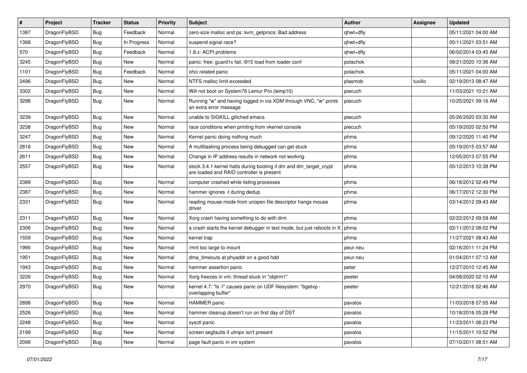| #    | Project      | <b>Tracker</b> | <b>Status</b> | <b>Priority</b> | Subject                                                                                                        | <b>Author</b> | Assignee | <b>Updated</b>      |
|------|--------------|----------------|---------------|-----------------|----------------------------------------------------------------------------------------------------------------|---------------|----------|---------------------|
| 1387 | DragonFlyBSD | <b>Bug</b>     | Feedback      | Normal          | zero-size malloc and ps: kvm_getprocs: Bad address                                                             | qhwt+dfly     |          | 05/11/2021 04:00 AM |
| 1368 | DragonFlyBSD | <b>Bug</b>     | In Progress   | Normal          | suspend signal race?                                                                                           | qhwt+dfly     |          | 05/11/2021 03:51 AM |
| 570  | DragonFlyBSD | <b>Bug</b>     | Feedback      | Normal          | 1.8.x: ACPI problems                                                                                           | qhwt+dfly     |          | 06/02/2014 03:45 AM |
| 3245 | DragonFlyBSD | <b>Bug</b>     | New           | Normal          | panic: free: guard1x fail, i915 load from loader.conf                                                          | polachok      |          | 08/21/2020 10:36 AM |
| 1101 | DragonFlyBSD | <b>Bug</b>     | Feedback      | Normal          | ohci related panic                                                                                             | polachok      |          | 05/11/2021 04:00 AM |
| 2496 | DragonFlyBSD | <b>Bug</b>     | <b>New</b>    | Normal          | NTFS malloc limit exceeded                                                                                     | plasmob       | tuxillo  | 02/19/2013 08:47 AM |
| 3302 | DragonFlyBSD | <b>Bug</b>     | New           | Normal          | Will not boot on System76 Lemur Pro (lemp10)                                                                   | piecuch       |          | 11/03/2021 10:21 AM |
| 3298 | DragonFlyBSD | <b>Bug</b>     | <b>New</b>    | Normal          | Running "w" and having logged in via XDM through VNC, "w" prints<br>an extra error message                     | piecuch       |          | 10/25/2021 09:16 AM |
| 3239 | DragonFlyBSD | <b>Bug</b>     | <b>New</b>    | Normal          | unable to SIGKILL glitched emacs                                                                               | piecuch       |          | 05/26/2020 03:30 AM |
| 3238 | DragonFlyBSD | <b>Bug</b>     | New           | Normal          | race conditions when printing from vkernel console                                                             | piecuch       |          | 05/19/2020 02:50 PM |
| 3247 | DragonFlyBSD | <b>Bug</b>     | New           | Normal          | Kernel panic doing nothing much                                                                                | phma          |          | 09/12/2020 11:40 PM |
| 2816 | DragonFlyBSD | <b>Bug</b>     | New           | Normal          | A multitasking process being debugged can get stuck                                                            | phma          |          | 05/19/2015 03:57 AM |
| 2611 | DragonFlyBSD | <b>Bug</b>     | <b>New</b>    | Normal          | Change in IP address results in network not working                                                            | phma          |          | 12/05/2013 07:55 PM |
| 2557 | DragonFlyBSD | <b>Bug</b>     | New           | Normal          | stock 3.4.1 kernel halts during booting if dm and dm_target_crypt<br>are loaded and RAID controller is present | phma          |          | 05/12/2013 10:38 PM |
| 2389 | DragonFlyBSD | <b>Bug</b>     | New           | Normal          | computer crashed while listing processes                                                                       | phma          |          | 06/18/2012 02:49 PM |
| 2387 | DragonFlyBSD | <b>Bug</b>     | <b>New</b>    | Normal          | hammer ignores -t during dedup                                                                                 | phma          |          | 06/17/2012 12:30 PM |
| 2331 | DragonFlyBSD | <b>Bug</b>     | New           | Normal          | reading mouse mode from unopen file descriptor hangs mouse<br>driver                                           | phma          |          | 03/14/2012 09:43 AM |
| 2311 | DragonFlyBSD | <b>Bug</b>     | <b>New</b>    | Normal          | Xorg crash having something to do with drm                                                                     | phma          |          | 02/22/2012 09:59 AM |
| 2306 | DragonFlyBSD | Bug            | <b>New</b>    | Normal          | a crash starts the kernel debugger in text mode, but just reboots in X                                         | phma          |          | 02/11/2012 08:02 PM |
| 1559 | DragonFlyBSD | Bug            | <b>New</b>    | Normal          | kernel trap                                                                                                    | phma          |          | 11/27/2021 08:43 AM |
| 1990 | DragonFlyBSD | Bug            | <b>New</b>    | Normal          | /mnt too large to mount                                                                                        | peur.neu      |          | 02/16/2011 11:24 PM |
| 1951 | DragonFlyBSD | Bug            | New           | Normal          | dma_timeouts at phyaddr on a good hdd                                                                          | peur.neu      |          | 01/04/2011 07:12 AM |
| 1943 | DragonFlyBSD | Bug            | <b>New</b>    | Normal          | hammer assertion panic                                                                                         | peter         |          | 12/27/2010 12:45 AM |
| 3226 | DragonFlyBSD | Bug            | New           | Normal          | Xorg freezes in vm: thread stuck in "objtrm1"                                                                  | peeter        |          | 04/08/2020 02:10 AM |
| 2970 | DragonFlyBSD | Bug            | New           | Normal          | kernel 4.7: "Is -I" causes panic on UDF filesystem: "bgetvp -<br>overlapping buffer"                           | peeter        |          | 12/21/2016 02:46 AM |
| 2898 | DragonFlyBSD | <b>Bug</b>     | New           | Normal          | HAMMER panic                                                                                                   | pavalos       |          | 11/03/2018 07:05 AM |
| 2526 | DragonFlyBSD | <b>Bug</b>     | <b>New</b>    | Normal          | hammer cleanup doesn't run on first day of DST                                                                 | pavalos       |          | 10/18/2016 05:28 PM |
| 2248 | DragonFlyBSD | <b>Bug</b>     | New           | Normal          | sysctl panic                                                                                                   | pavalos       |          | 11/23/2011 06:23 PM |
| 2199 | DragonFlyBSD | <b>Bug</b>     | New           | Normal          | screen segfaults if utmpx isn't present                                                                        | pavalos       |          | 11/15/2011 10:52 PM |
| 2099 | DragonFlyBSD | <b>Bug</b>     | New           | Normal          | page fault panic in vm system                                                                                  | pavalos       |          | 07/10/2011 08:51 AM |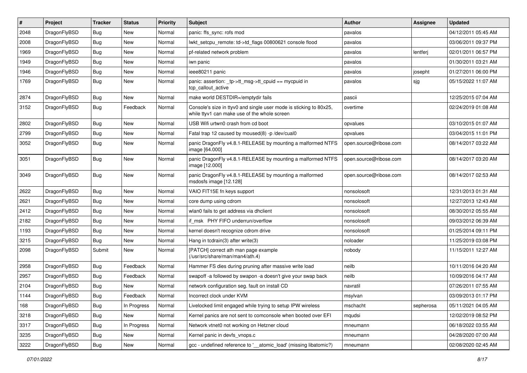| #    | Project      | <b>Tracker</b> | <b>Status</b> | <b>Priority</b> | Subject                                                                                                            | <b>Author</b>          | Assignee  | <b>Updated</b>      |
|------|--------------|----------------|---------------|-----------------|--------------------------------------------------------------------------------------------------------------------|------------------------|-----------|---------------------|
| 2048 | DragonFlyBSD | Bug            | <b>New</b>    | Normal          | panic: ffs_sync: rofs mod                                                                                          | pavalos                |           | 04/12/2011 05:45 AM |
| 2008 | DragonFlyBSD | <b>Bug</b>     | <b>New</b>    | Normal          | lwkt_setcpu_remote: td->td_flags 00800621 console flood                                                            | pavalos                |           | 03/06/2011 09:37 PM |
| 1969 | DragonFlyBSD | <b>Bug</b>     | <b>New</b>    | Normal          | pf-related network problem                                                                                         | pavalos                | lentferj  | 02/01/2011 06:57 PM |
| 1949 | DragonFlyBSD | Bug            | <b>New</b>    | Normal          | iwn panic                                                                                                          | pavalos                |           | 01/30/2011 03:21 AM |
| 1946 | DragonFlyBSD | Bug            | <b>New</b>    | Normal          | ieee80211 panic                                                                                                    | pavalos                | josepht   | 01/27/2011 06:00 PM |
| 1769 | DragonFlyBSD | Bug            | New           | Normal          | panic: assertion: tp->tt msg->tt cpuid == mycpuid in<br>tcp_callout_active                                         | pavalos                | sjg       | 05/15/2022 11:07 AM |
| 2874 | DragonFlyBSD | <b>Bug</b>     | New           | Normal          | make world DESTDIR=/emptydir fails                                                                                 | pascii                 |           | 12/25/2015 07:04 AM |
| 3152 | DragonFlyBSD | Bug            | Feedback      | Normal          | Console's size in ttyv0 and single user mode is sticking to 80x25,<br>while ttyv1 can make use of the whole screen | overtime               |           | 02/24/2019 01:08 AM |
| 2802 | DragonFlyBSD | <b>Bug</b>     | <b>New</b>    | Normal          | USB Wifi urtwn0 crash from cd boot                                                                                 | opvalues               |           | 03/10/2015 01:07 AM |
| 2799 | DragonFlyBSD | Bug            | <b>New</b>    | Normal          | Fatal trap 12 caused by moused(8) -p/dev/cual0                                                                     | opvalues               |           | 03/04/2015 11:01 PM |
| 3052 | DragonFlyBSD | <b>Bug</b>     | <b>New</b>    | Normal          | panic DragonFly v4.8.1-RELEASE by mounting a malformed NTFS<br>image [64.000]                                      | open.source@ribose.com |           | 08/14/2017 03:22 AM |
| 3051 | DragonFlyBSD | Bug            | <b>New</b>    | Normal          | panic DragonFly v4.8.1-RELEASE by mounting a malformed NTFS<br>image [12.000]                                      | open.source@ribose.com |           | 08/14/2017 03:20 AM |
| 3049 | DragonFlyBSD | Bug            | <b>New</b>    | Normal          | panic DragonFly v4.8.1-RELEASE by mounting a malformed<br>msdosfs image [12.128]                                   | open.source@ribose.com |           | 08/14/2017 02:53 AM |
| 2622 | DragonFlyBSD | <b>Bug</b>     | <b>New</b>    | Normal          | VAIO FIT15E fn keys support                                                                                        | nonsolosoft            |           | 12/31/2013 01:31 AM |
| 2621 | DragonFlyBSD | Bug            | <b>New</b>    | Normal          | core dump using cdrom                                                                                              | nonsolosoft            |           | 12/27/2013 12:43 AM |
| 2412 | DragonFlyBSD | Bug            | <b>New</b>    | Normal          | wlan0 fails to get address via dhclient                                                                            | nonsolosoft            |           | 08/30/2012 05:55 AM |
| 2182 | DragonFlyBSD | <b>Bug</b>     | <b>New</b>    | Normal          | if msk PHY FIFO underrun/overflow                                                                                  | nonsolosoft            |           | 09/03/2012 06:39 AM |
| 1193 | DragonFlyBSD | Bug            | <b>New</b>    | Normal          | kernel doesn't recognize cdrom drive                                                                               | nonsolosoft            |           | 01/25/2014 09:11 PM |
| 3215 | DragonFlyBSD | Bug            | <b>New</b>    | Normal          | Hang in tcdrain(3) after write(3)                                                                                  | noloader               |           | 11/25/2019 03:08 PM |
| 2098 | DragonFlyBSD | Submit         | <b>New</b>    | Normal          | [PATCH] correct ath man page example<br>(/usr/src/share/man/man4/ath.4)                                            | nobody                 |           | 11/15/2011 12:27 AM |
| 2958 | DragonFlyBSD | <b>Bug</b>     | Feedback      | Normal          | Hammer FS dies during pruning after massive write load                                                             | neilb                  |           | 10/11/2016 04:20 AM |
| 2957 | DragonFlyBSD | Bug            | Feedback      | Normal          | swapoff -a followed by swapon -a doesn't give your swap back                                                       | neilb                  |           | 10/09/2016 04:17 AM |
| 2104 | DragonFlyBSD | Bug            | <b>New</b>    | Normal          | network configuration seg. fault on install CD                                                                     | navratil               |           | 07/26/2011 07:55 AM |
| 1144 | DragonFlyBSD | Bug            | Feedback      | Normal          | Incorrect clock under KVM                                                                                          | msylvan                |           | 03/09/2013 01:17 PM |
| 168  | DragonFlyBSD | Bug            | In Progress   | Normal          | Livelocked limit engaged while trying to setup IPW wireless                                                        | mschacht               | sepherosa | 05/11/2021 04:05 AM |
| 3218 | DragonFlyBSD | <b>Bug</b>     | New           | Normal          | Kernel panics are not sent to comconsole when booted over EFI                                                      | mqudsi                 |           | 12/02/2019 08:52 PM |
| 3317 | DragonFlyBSD | <b>Bug</b>     | In Progress   | Normal          | Network vtnet0 not working on Hetzner cloud                                                                        | mneumann               |           | 06/18/2022 03:55 AM |
| 3235 | DragonFlyBSD | Bug            | New           | Normal          | Kernel panic in devfs_vnops.c                                                                                      | mneumann               |           | 04/28/2020 07:00 AM |
| 3222 | DragonFlyBSD | Bug            | New           | Normal          | gcc - undefined reference to '_atomic_load' (missing libatomic?)                                                   | mneumann               |           | 02/08/2020 02:45 AM |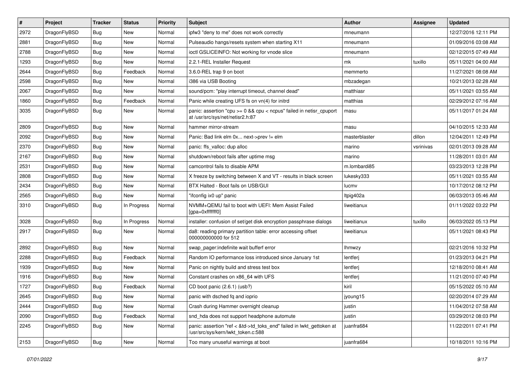| $\sharp$ | Project      | <b>Tracker</b> | <b>Status</b> | <b>Priority</b> | Subject                                                                                                    | <b>Author</b> | <b>Assignee</b> | <b>Updated</b>      |
|----------|--------------|----------------|---------------|-----------------|------------------------------------------------------------------------------------------------------------|---------------|-----------------|---------------------|
| 2972     | DragonFlyBSD | Bug            | <b>New</b>    | Normal          | ipfw3 "deny to me" does not work correctly                                                                 | mneumann      |                 | 12/27/2016 12:11 PM |
| 2881     | DragonFlyBSD | <b>Bug</b>     | <b>New</b>    | Normal          | Pulseaudio hangs/resets system when starting X11                                                           | mneumann      |                 | 01/09/2016 03:08 AM |
| 2788     | DragonFlyBSD | <b>Bug</b>     | New           | Normal          | ioctl GSLICEINFO: Not working for vnode slice                                                              | mneumann      |                 | 02/12/2015 07:49 AM |
| 1293     | DragonFlyBSD | <b>Bug</b>     | New           | Normal          | 2.2.1-REL Installer Request                                                                                | mk            | tuxillo         | 05/11/2021 04:00 AM |
| 2644     | DragonFlyBSD | <b>Bug</b>     | Feedback      | Normal          | 3.6.0-REL trap 9 on boot                                                                                   | memmerto      |                 | 11/27/2021 08:08 AM |
| 2598     | DragonFlyBSD | <b>Bug</b>     | <b>New</b>    | Normal          | i386 via USB Booting                                                                                       | mbzadegan     |                 | 10/21/2013 02:28 AM |
| 2067     | DragonFlyBSD | <b>Bug</b>     | New           | Normal          | sound/pcm: "play interrupt timeout, channel dead"                                                          | matthiasr     |                 | 05/11/2021 03:55 AM |
| 1860     | DragonFlyBSD | <b>Bug</b>     | Feedback      | Normal          | Panic while creating UFS fs on vn(4) for initrd                                                            | matthias      |                 | 02/29/2012 07:16 AM |
| 3035     | DragonFlyBSD | <b>Bug</b>     | New           | Normal          | panic: assertion "cpu >= 0 && cpu < ncpus" failed in netisr_cpuport<br>at /usr/src/sys/net/netisr2.h:87    | masu          |                 | 05/11/2017 01:24 AM |
| 2809     | DragonFlyBSD | <b>Bug</b>     | <b>New</b>    | Normal          | hammer mirror-stream                                                                                       | masu          |                 | 04/10/2015 12:33 AM |
| 2092     | DragonFlyBSD | <b>Bug</b>     | <b>New</b>    | Normal          | Panic: Bad link elm 0x next->prev != elm                                                                   | masterblaster | dillon          | 12/04/2011 12:49 PM |
| 2370     | DragonFlyBSD | <b>Bug</b>     | New           | Normal          | panic: ffs valloc: dup alloc                                                                               | marino        | vsrinivas       | 02/01/2013 09:28 AM |
| 2167     | DragonFlyBSD | <b>Bug</b>     | New           | Normal          | shutdown/reboot fails after uptime msg                                                                     | marino        |                 | 11/28/2011 03:01 AM |
| 2531     | DragonFlyBSD | <b>Bug</b>     | New           | Normal          | camcontrol fails to disable APM                                                                            | m.lombardi85  |                 | 03/23/2013 12:28 PM |
| 2808     | DragonFlyBSD | <b>Bug</b>     | New           | Normal          | X freeze by switching between X and VT - results in black screen                                           | lukesky333    |                 | 05/11/2021 03:55 AM |
| 2434     | DragonFlyBSD | <b>Bug</b>     | New           | Normal          | BTX Halted - Boot fails on USB/GUI                                                                         | lucmv         |                 | 10/17/2012 08:12 PM |
| 2565     | DragonFlyBSD | <b>Bug</b>     | <b>New</b>    | Normal          | "ifconfig ix0 up" panic                                                                                    | Itpig402a     |                 | 06/03/2013 05:46 AM |
| 3310     | DragonFlyBSD | <b>Bug</b>     | In Progress   | Normal          | NVMM+QEMU fail to boot with UEFI: Mem Assist Failed<br>[gpa=0xfffffff0]                                    | liweitianux   |                 | 01/11/2022 03:22 PM |
| 3028     | DragonFlyBSD | <b>Bug</b>     | In Progress   | Normal          | installer: confusion of set/get disk encryption passphrase dialogs                                         | liweitianux   | tuxillo         | 06/03/2022 05:13 PM |
| 2917     | DragonFlyBSD | <b>Bug</b>     | New           | Normal          | da8: reading primary partition table: error accessing offset<br>000000000000 for 512                       | liweitianux   |                 | 05/11/2021 08:43 PM |
| 2892     | DragonFlyBSD | <b>Bug</b>     | <b>New</b>    | Normal          | swap_pager:indefinite wait bufferf error                                                                   | Ihmwzy        |                 | 02/21/2016 10:32 PM |
| 2288     | DragonFlyBSD | <b>Bug</b>     | Feedback      | Normal          | Random IO performance loss introduced since January 1st                                                    | lentferj      |                 | 01/23/2013 04:21 PM |
| 1939     | DragonFlyBSD | <b>Bug</b>     | <b>New</b>    | Normal          | Panic on nightly build and stress test box                                                                 | lentferj      |                 | 12/18/2010 08:41 AM |
| 1916     | DragonFlyBSD | <b>Bug</b>     | New           | Normal          | Constant crashes on x86_64 with UFS                                                                        | lentferj      |                 | 11/21/2010 07:40 PM |
| 1727     | DragonFlyBSD | <b>Bug</b>     | Feedback      | Normal          | CD boot panic (2.6.1) (usb?)                                                                               | kiril         |                 | 05/15/2022 05:10 AM |
| 2645     | DragonFlyBSD | Bug            | <b>New</b>    | Normal          | panic with dsched fq and ioprio                                                                            | jyoung15      |                 | 02/20/2014 07:29 AM |
| 2444     | DragonFlyBSD | <b>Bug</b>     | New           | Normal          | Crash during Hammer overnight cleanup                                                                      | justin        |                 | 11/04/2012 07:58 AM |
| 2090     | DragonFlyBSD | Bug            | Feedback      | Normal          | snd_hda does not support headphone automute                                                                | justin        |                 | 03/29/2012 08:03 PM |
| 2245     | DragonFlyBSD | <b>Bug</b>     | New           | Normal          | panic: assertion "ref < &td->td toks end" failed in lwkt gettoken at<br>/usr/src/sys/kern/lwkt_token.c:588 | juanfra684    |                 | 11/22/2011 07:41 PM |
| 2153     | DragonFlyBSD | <b>Bug</b>     | New           | Normal          | Too many unuseful warnings at boot                                                                         | juanfra684    |                 | 10/18/2011 10:16 PM |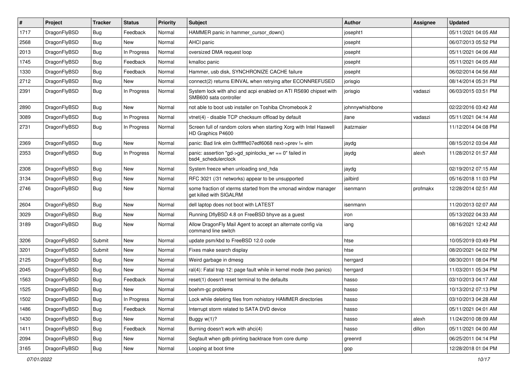| #    | Project      | <b>Tracker</b> | <b>Status</b> | <b>Priority</b> | Subject                                                                                    | <b>Author</b>   | Assignee | <b>Updated</b>      |
|------|--------------|----------------|---------------|-----------------|--------------------------------------------------------------------------------------------|-----------------|----------|---------------------|
| 1717 | DragonFlyBSD | <b>Bug</b>     | Feedback      | Normal          | HAMMER panic in hammer cursor down()                                                       | josepht1        |          | 05/11/2021 04:05 AM |
| 2568 | DragonFlyBSD | Bug            | New           | Normal          | AHCI panic                                                                                 | josepht         |          | 06/07/2013 05:52 PM |
| 2013 | DragonFlyBSD | <b>Bug</b>     | In Progress   | Normal          | oversized DMA request loop                                                                 | josepht         |          | 05/11/2021 04:06 AM |
| 1745 | DragonFlyBSD | <b>Bug</b>     | Feedback      | Normal          | kmalloc panic                                                                              | josepht         |          | 05/11/2021 04:05 AM |
| 1330 | DragonFlyBSD | <b>Bug</b>     | Feedback      | Normal          | Hammer, usb disk, SYNCHRONIZE CACHE failure                                                | josepht         |          | 06/02/2014 04:56 AM |
| 2712 | DragonFlyBSD | <b>Bug</b>     | New           | Normal          | connect(2) returns EINVAL when retrying after ECONNREFUSED                                 | jorisgio        |          | 08/14/2014 05:31 PM |
| 2391 | DragonFlyBSD | Bug            | In Progress   | Normal          | System lock with ahci and acpi enabled on ATI RS690 chipset with<br>SMB600 sata controller | jorisgio        | vadaszi  | 06/03/2015 03:51 PM |
| 2890 | DragonFlyBSD | Bug            | <b>New</b>    | Normal          | not able to boot usb installer on Toshiba Chromebook 2                                     | johnnywhishbone |          | 02/22/2016 03:42 AM |
| 3089 | DragonFlyBSD | Bug            | In Progress   | Normal          | vtnet(4) - disable TCP checksum offload by default                                         | jlane           | vadaszi  | 05/11/2021 04:14 AM |
| 2731 | DragonFlyBSD | <b>Bug</b>     | In Progress   | Normal          | Screen full of random colors when starting Xorg with Intel Haswell<br>HD Graphics P4600    | ikatzmaier      |          | 11/12/2014 04:08 PM |
| 2369 | DragonFlyBSD | Bug            | <b>New</b>    | Normal          | panic: Bad link elm 0xffffffe07edf6068 next->prev != elm                                   | jaydg           |          | 08/15/2012 03:04 AM |
| 2353 | DragonFlyBSD | <b>Bug</b>     | In Progress   | Normal          | panic: assertion "gd->gd_spinlocks_wr == 0" failed in<br>bsd4 schedulerclock               | jaydg           | alexh    | 11/28/2012 01:57 AM |
| 2308 | DragonFlyBSD | Bug            | New           | Normal          | System freeze when unloading snd hda                                                       | jaydg           |          | 02/19/2012 07:15 AM |
| 3134 | DragonFlyBSD | <b>Bug</b>     | New           | Normal          | RFC 3021 (/31 networks) appear to be unsupported                                           | jailbird        |          | 05/16/2018 11:03 PM |
| 2746 | DragonFlyBSD | Bug            | New           | Normal          | some fraction of xterms started from the xmonad window manager<br>get killed with SIGALRM  | isenmann        | profmakx | 12/28/2014 02:51 AM |
| 2604 | DragonFlyBSD | Bug            | New           | Normal          | dell laptop does not boot with LATEST                                                      | isenmann        |          | 11/20/2013 02:07 AM |
| 3029 | DragonFlyBSD | <b>Bug</b>     | <b>New</b>    | Normal          | Running DflyBSD 4.8 on FreeBSD bhyve as a guest                                            | iron            |          | 05/13/2022 04:33 AM |
| 3189 | DragonFlyBSD | <b>Bug</b>     | New           | Normal          | Allow DragonFly Mail Agent to accept an alternate config via<br>command line switch        | iang            |          | 08/16/2021 12:42 AM |
| 3206 | DragonFlyBSD | Submit         | New           | Normal          | update psm/kbd to FreeBSD 12.0 code                                                        | htse            |          | 10/05/2019 03:49 PM |
| 3201 | DragonFlyBSD | Submit         | New           | Normal          | Fixes make search display                                                                  | htse            |          | 08/20/2021 04:02 PM |
| 2125 | DragonFlyBSD | Bug            | New           | Normal          | Weird garbage in dmesg                                                                     | herrgard        |          | 08/30/2011 08:04 PM |
| 2045 | DragonFlyBSD | Bug            | <b>New</b>    | Normal          | ral(4): Fatal trap 12: page fault while in kernel mode (two panics)                        | herrgard        |          | 11/03/2011 05:34 PM |
| 1563 | DragonFlyBSD | <b>Bug</b>     | Feedback      | Normal          | reset(1) doesn't reset terminal to the defaults                                            | hasso           |          | 03/10/2013 04:17 AM |
| 1525 | DragonFlyBSD | <b>Bug</b>     | New           | Normal          | boehm-gc problems                                                                          | hasso           |          | 10/13/2012 07:13 PM |
| 1502 | DragonFlyBSD | <b>Bug</b>     | In Progress   | Normal          | Lock while deleting files from nohistory HAMMER directories                                | hasso           |          | 03/10/2013 04:28 AM |
| 1486 | DragonFlyBSD | <b>Bug</b>     | Feedback      | Normal          | Interrupt storm related to SATA DVD device                                                 | hasso           |          | 05/11/2021 04:01 AM |
| 1430 | DragonFlyBSD | <b>Bug</b>     | New           | Normal          | Buggy w(1)?                                                                                | hasso           | alexh    | 11/24/2010 08:09 AM |
| 1411 | DragonFlyBSD | <b>Bug</b>     | Feedback      | Normal          | Burning doesn't work with ahci(4)                                                          | hasso           | dillon   | 05/11/2021 04:00 AM |
| 2094 | DragonFlyBSD | <b>Bug</b>     | <b>New</b>    | Normal          | Segfault when gdb printing backtrace from core dump                                        | greenrd         |          | 06/25/2011 04:14 PM |
| 3165 | DragonFlyBSD | <b>Bug</b>     | New           | Normal          | Looping at boot time                                                                       | gop             |          | 12/28/2018 01:04 PM |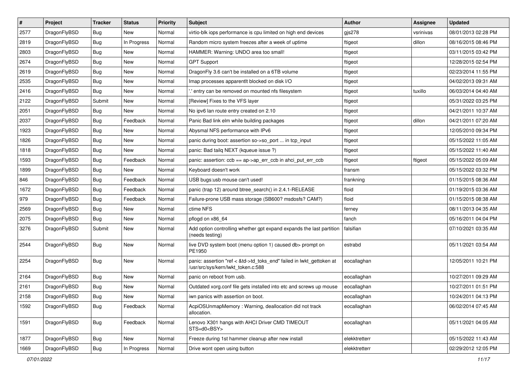| $\sharp$ | Project      | <b>Tracker</b> | <b>Status</b> | <b>Priority</b> | Subject                                                                                                    | <b>Author</b> | Assignee  | <b>Updated</b>      |
|----------|--------------|----------------|---------------|-----------------|------------------------------------------------------------------------------------------------------------|---------------|-----------|---------------------|
| 2577     | DragonFlyBSD | <b>Bug</b>     | New           | Normal          | virtio-blk iops performance is cpu limited on high end devices                                             | gjs278        | vsrinivas | 08/01/2013 02:28 PM |
| 2819     | DragonFlyBSD | <b>Bug</b>     | In Progress   | Normal          | Random micro system freezes after a week of uptime                                                         | ftigeot       | dillon    | 08/16/2015 08:46 PM |
| 2803     | DragonFlyBSD | <b>Bug</b>     | New           | Normal          | HAMMER: Warning: UNDO area too small!                                                                      | ftigeot       |           | 03/11/2015 03:42 PM |
| 2674     | DragonFlyBSD | <b>Bug</b>     | New           | Normal          | <b>GPT Support</b>                                                                                         | ftigeot       |           | 12/28/2015 02:54 PM |
| 2619     | DragonFlyBSD | Bug            | <b>New</b>    | Normal          | DragonFly 3.6 can't be installed on a 6TB volume                                                           | ftigeot       |           | 02/23/2014 11:55 PM |
| 2535     | DragonFlyBSD | <b>Bug</b>     | New           | Normal          | Imap processes apparentlt blocked on disk I/O                                                              | ftigeot       |           | 04/02/2013 09:31 AM |
| 2416     | DragonFlyBSD | <b>Bug</b>     | New           | Normal          | ".' entry can be removed on mounted nfs filesystem                                                         | ftigeot       | tuxillo   | 06/03/2014 04:40 AM |
| 2122     | DragonFlyBSD | Submit         | New           | Normal          | [Review] Fixes to the VFS layer                                                                            | ftigeot       |           | 05/31/2022 03:25 PM |
| 2051     | DragonFlyBSD | <b>Bug</b>     | New           | Normal          | No ipv6 lan route entry created on 2.10                                                                    | ftigeot       |           | 04/21/2011 10:37 AM |
| 2037     | DragonFlyBSD | <b>Bug</b>     | Feedback      | Normal          | Panic Bad link elm while building packages                                                                 | ftigeot       | dillon    | 04/21/2011 07:20 AM |
| 1923     | DragonFlyBSD | <b>Bug</b>     | New           | Normal          | Abysmal NFS performance with IPv6                                                                          | ftigeot       |           | 12/05/2010 09:34 PM |
| 1826     | DragonFlyBSD | <b>Bug</b>     | New           | Normal          | panic during boot: assertion so->so_port  in tcp_input                                                     | ftigeot       |           | 05/15/2022 11:05 AM |
| 1818     | DragonFlyBSD | <b>Bug</b>     | New           | Normal          | panic: Bad tailq NEXT (kqueue issue ?)                                                                     | ftigeot       |           | 05/15/2022 11:40 AM |
| 1593     | DragonFlyBSD | <b>Bug</b>     | Feedback      | Normal          | panic: assertion: $ccb == ap \rightarrow ap$ err $ccb$ in ahci put err $ccb$                               | ftigeot       | ftigeot   | 05/15/2022 05:09 AM |
| 1899     | DragonFlyBSD | <b>Bug</b>     | New           | Normal          | Keyboard doesn't work                                                                                      | fransm        |           | 05/15/2022 03:32 PM |
| 846      | DragonFlyBSD | Bug            | Feedback      | Normal          | USB bugs:usb mouse can't used!                                                                             | frankning     |           | 01/15/2015 08:36 AM |
| 1672     | DragonFlyBSD | <b>Bug</b>     | Feedback      | Normal          | panic (trap 12) around btree_search() in 2.4.1-RELEASE                                                     | floid         |           | 01/19/2015 03:36 AM |
| 979      | DragonFlyBSD | <b>Bug</b>     | Feedback      | Normal          | Failure-prone USB mass storage (SB600? msdosfs? CAM?)                                                      | floid         |           | 01/15/2015 08:38 AM |
| 2569     | DragonFlyBSD | <b>Bug</b>     | New           | Normal          | ctime NFS                                                                                                  | ferney        |           | 08/11/2013 04:35 AM |
| 2075     | DragonFlyBSD | <b>Bug</b>     | New           | Normal          | pflogd on x86_64                                                                                           | fanch         |           | 05/16/2011 04:04 PM |
| 3276     | DragonFlyBSD | Submit         | New           | Normal          | Add option controlling whether gpt expand expands the last partition<br>(needs testing)                    | falsifian     |           | 07/10/2021 03:35 AM |
| 2544     | DragonFlyBSD | <b>Bug</b>     | New           | Normal          | live DVD system boot (menu option 1) caused db> prompt on<br>PE1950                                        | estrabd       |           | 05/11/2021 03:54 AM |
| 2254     | DragonFlyBSD | Bug            | New           | Normal          | panic: assertion "ref < &td->td_toks_end" failed in lwkt_gettoken at<br>/usr/src/sys/kern/lwkt_token.c:588 | eocallaghan   |           | 12/05/2011 10:21 PM |
| 2164     | DragonFlyBSD | <b>Bug</b>     | <b>New</b>    | Normal          | panic on reboot from usb.                                                                                  | eocallaghan   |           | 10/27/2011 09:29 AM |
| 2161     | DragonFlyBSD | <b>Bug</b>     | <b>New</b>    | Normal          | Outdated xorg.conf file gets installed into etc and screws up mouse                                        | eocallaghan   |           | 10/27/2011 01:51 PM |
| 2158     | DragonFlyBSD | Bug            | New           | Normal          | iwn panics with assertion on boot.                                                                         | eocallaghan   |           | 10/24/2011 04:13 PM |
| 1592     | DragonFlyBSD | <b>Bug</b>     | Feedback      | Normal          | AcpiOSUnmapMemory: Warning, deallocation did not track<br>allocation.                                      | eocallaghan   |           | 06/02/2014 07:45 AM |
| 1591     | DragonFlyBSD | <b>Bug</b>     | Feedback      | Normal          | Lenovo X301 hangs with AHCI Driver CMD TIMEOUT<br>STS=d0 <bsy></bsy>                                       | eocallaghan   |           | 05/11/2021 04:05 AM |
| 1877     | DragonFlyBSD | <b>Bug</b>     | New           | Normal          | Freeze during 1st hammer cleanup after new install                                                         | elekktretterr |           | 05/15/2022 11:43 AM |
| 1669     | DragonFlyBSD | <b>Bug</b>     | In Progress   | Normal          | Drive wont open using button                                                                               | elekktretterr |           | 02/29/2012 12:05 PM |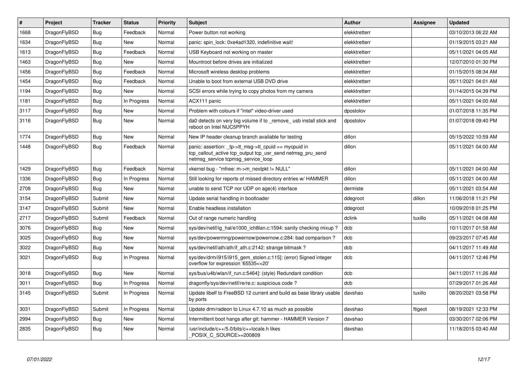| $\vert$ # | Project      | <b>Tracker</b> | <b>Status</b> | <b>Priority</b> | <b>Subject</b>                                                                                                                                           | <b>Author</b> | Assignee | <b>Updated</b>      |
|-----------|--------------|----------------|---------------|-----------------|----------------------------------------------------------------------------------------------------------------------------------------------------------|---------------|----------|---------------------|
| 1668      | DragonFlyBSD | <b>Bug</b>     | Feedback      | Normal          | Power button not working                                                                                                                                 | elekktretterr |          | 03/10/2013 06:22 AM |
| 1634      | DragonFlyBSD | <b>Bug</b>     | <b>New</b>    | Normal          | panic: spin lock: 0xe4ad1320, indefinitive wait!                                                                                                         | elekktretterr |          | 01/19/2015 03:21 AM |
| 1613      | DragonFlyBSD | Bug            | Feedback      | Normal          | USB Keyboard not working on master                                                                                                                       | elekktretterr |          | 05/11/2021 04:05 AM |
| 1463      | DragonFlyBSD | <b>Bug</b>     | <b>New</b>    | Normal          | Mountroot before drives are initialized                                                                                                                  | elekktretterr |          | 12/07/2010 01:30 PM |
| 1456      | DragonFlyBSD | <b>Bug</b>     | Feedback      | Normal          | Microsoft wireless desktop problems                                                                                                                      | elekktretterr |          | 01/15/2015 08:34 AM |
| 1454      | DragonFlyBSD | Bug            | Feedback      | Normal          | Unable to boot from external USB DVD drive                                                                                                               | elekktretterr |          | 05/11/2021 04:01 AM |
| 1194      | DragonFlyBSD | <b>Bug</b>     | New           | Normal          | SCSI errors while trying to copy photos from my camera                                                                                                   | elekktretterr |          | 01/14/2015 04:39 PM |
| 1181      | DragonFlyBSD | Bug            | In Progress   | Normal          | ACX111 panic                                                                                                                                             | elekktretterr |          | 05/11/2021 04:00 AM |
| 3117      | DragonFlyBSD | Bug            | <b>New</b>    | Normal          | Problem with colours if "intel" video-driver used                                                                                                        | dpostolov     |          | 01/07/2018 11:35 PM |
| 3116      | DragonFlyBSD | <b>Bug</b>     | <b>New</b>    | Normal          | da0 detects on very big volume if to _remove_ usb install stick and<br>reboot on Intel NUC5PPYH                                                          | dpostolov     |          | 01/07/2018 09:40 PM |
| 1774      | DragonFlyBSD | <b>Bug</b>     | <b>New</b>    | Normal          | New IP header cleanup branch available for testing                                                                                                       | dillon        |          | 05/15/2022 10:59 AM |
| 1448      | DragonFlyBSD | Bug            | Feedback      | Normal          | panic: assertion: tp->tt_msg->tt_cpuid == mycpuid in<br>tcp callout active tcp output tcp usr send netmsg pru send<br>netmsg_service tcpmsg_service_loop | dillon        |          | 05/11/2021 04:00 AM |
| 1429      | DragonFlyBSD | Bug            | Feedback      | Normal          | vkernel bug - "mfree: m->m nextpkt != NULL"                                                                                                              | dillon        |          | 05/11/2021 04:00 AM |
| 1336      | DragonFlyBSD | <b>Bug</b>     | In Progress   | Normal          | Still looking for reports of missed directory entries w/ HAMMER                                                                                          | dillon        |          | 05/11/2021 04:00 AM |
| 2708      | DragonFlyBSD | Bug            | <b>New</b>    | Normal          | unable to send TCP nor UDP on age(4) interface                                                                                                           | dermiste      |          | 05/11/2021 03:54 AM |
| 3154      | DragonFlyBSD | Submit         | <b>New</b>    | Normal          | Update serial handling in bootloader                                                                                                                     | ddegroot      | dillon   | 11/06/2018 11:21 PM |
| 3147      | DragonFlyBSD | Submit         | <b>New</b>    | Normal          | Enable headless installation                                                                                                                             | ddegroot      |          | 10/09/2018 01:25 PM |
| 2717      | DragonFlyBSD | Submit         | Feedback      | Normal          | Out of range numeric handling                                                                                                                            | dclink        | tuxillo  | 05/11/2021 04:08 AM |
| 3076      | DragonFlyBSD | Bug            | <b>New</b>    | Normal          | sys/dev/netif/ig hal/e1000 ich8lan.c:1594: sanity checking mixup?                                                                                        | dcb           |          | 10/11/2017 01:58 AM |
| 3025      | DragonFlyBSD | <b>Bug</b>     | <b>New</b>    | Normal          | sys/dev/powermng/powernow/powernow.c:284: bad comparison?                                                                                                | dcb           |          | 09/23/2017 07:45 AM |
| 3022      | DragonFlyBSD | Bug            | <b>New</b>    | Normal          | sys/dev/netif/ath/ath/if ath.c:2142: strange bitmask?                                                                                                    | dcb           |          | 04/11/2017 11:49 AM |
| 3021      | DragonFlyBSD | <b>Bug</b>     | In Progress   | Normal          | sys/dev/drm/i915/i915_gem_stolen.c:115]: (error) Signed integer<br>overflow for expression '65535<<20'                                                   | dcb           |          | 04/11/2017 12:46 PM |
| 3018      | DragonFlyBSD | Bug            | <b>New</b>    | Normal          | sys/bus/u4b/wlan/if run.c:5464]: (style) Redundant condition                                                                                             | dcb           |          | 04/11/2017 11:26 AM |
| 3011      | DragonFlyBSD | <b>Bug</b>     | In Progress   | Normal          | dragonfly/sys/dev/netif/re/re.c: suspicious code?                                                                                                        | dcb           |          | 07/29/2017 01:26 AM |
| 3145      | DragonFlyBSD | Submit         | In Progress   | Normal          | Update libelf to FreeBSD 12 current and build as base library usable<br>by ports                                                                         | davshao       | tuxillo  | 08/20/2021 03:58 PM |
| 3031      | DragonFlyBSD | Submit         | In Progress   | Normal          | Update drm/radeon to Linux 4.7.10 as much as possible                                                                                                    | davshao       | ftigeot  | 08/19/2021 12:33 PM |
| 2994      | DragonFlyBSD | <b>Bug</b>     | <b>New</b>    | Normal          | Intermittent boot hangs after git: hammer - HAMMER Version 7                                                                                             | davshao       |          | 03/30/2017 02:06 PM |
| 2835      | DragonFlyBSD | <b>Bug</b>     | <b>New</b>    | Normal          | /usr/include/c++/5.0/bits/c++locale.h likes<br>POSIX C SOURCE>=200809                                                                                    | davshao       |          | 11/18/2015 03:40 AM |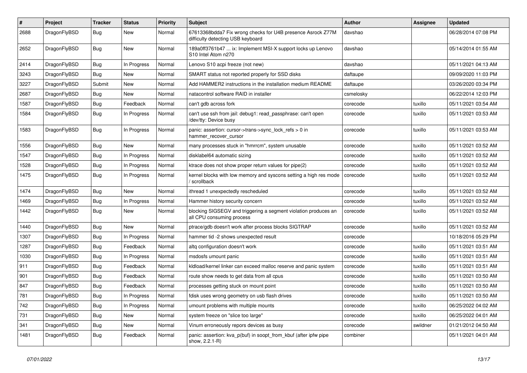| $\#$ | Project      | <b>Tracker</b> | <b>Status</b> | <b>Priority</b> | Subject                                                                                          | <b>Author</b> | Assignee | <b>Updated</b>      |
|------|--------------|----------------|---------------|-----------------|--------------------------------------------------------------------------------------------------|---------------|----------|---------------------|
| 2688 | DragonFlyBSD | Bug            | <b>New</b>    | Normal          | 67613368bdda7 Fix wrong checks for U4B presence Asrock Z77M<br>difficulty detecting USB keyboard | davshao       |          | 06/28/2014 07:08 PM |
| 2652 | DragonFlyBSD | Bug            | <b>New</b>    | Normal          | 189a0ff3761b47  ix: Implement MSI-X support locks up Lenovo<br>S10 Intel Atom n270               | davshao       |          | 05/14/2014 01:55 AM |
| 2414 | DragonFlyBSD | Bug            | In Progress   | Normal          | Lenovo S10 acpi freeze (not new)                                                                 | davshao       |          | 05/11/2021 04:13 AM |
| 3243 | DragonFlyBSD | <b>Bug</b>     | New           | Normal          | SMART status not reported properly for SSD disks                                                 | daftaupe      |          | 09/09/2020 11:03 PM |
| 3227 | DragonFlyBSD | Submit         | <b>New</b>    | Normal          | Add HAMMER2 instructions in the installation medium README                                       | daftaupe      |          | 03/26/2020 03:34 PM |
| 2687 | DragonFlyBSD | Bug            | <b>New</b>    | Normal          | natacontrol software RAID in installer                                                           | csmelosky     |          | 06/22/2014 12:03 PM |
| 1587 | DragonFlyBSD | <b>Bug</b>     | Feedback      | Normal          | can't gdb across fork                                                                            | corecode      | tuxillo  | 05/11/2021 03:54 AM |
| 1584 | DragonFlyBSD | Bug            | In Progress   | Normal          | can't use ssh from jail: debug1: read passphrase: can't open<br>/dev/tty: Device busy            | corecode      | tuxillo  | 05/11/2021 03:53 AM |
| 1583 | DragonFlyBSD | Bug            | In Progress   | Normal          | panic: assertion: cursor->trans->sync_lock_refs > 0 in<br>hammer_recover_cursor                  | corecode      | tuxillo  | 05/11/2021 03:53 AM |
| 1556 | DragonFlyBSD | Bug            | New           | Normal          | many processes stuck in "hmrrcm", system unusable                                                | corecode      | tuxillo  | 05/11/2021 03:52 AM |
| 1547 | DragonFlyBSD | <b>Bug</b>     | In Progress   | Normal          | disklabel64 automatic sizing                                                                     | corecode      | tuxillo  | 05/11/2021 03:52 AM |
| 1528 | DragonFlyBSD | <b>Bug</b>     | In Progress   | Normal          | ktrace does not show proper return values for pipe(2)                                            | corecode      | tuxillo  | 05/11/2021 03:52 AM |
| 1475 | DragonFlyBSD | <b>Bug</b>     | In Progress   | Normal          | kernel blocks with low memory and syscons setting a high res mode<br>scrollback                  | corecode      | tuxillo  | 05/11/2021 03:52 AM |
| 1474 | DragonFlyBSD | Bug            | <b>New</b>    | Normal          | ithread 1 unexpectedly rescheduled                                                               | corecode      | tuxillo  | 05/11/2021 03:52 AM |
| 1469 | DragonFlyBSD | <b>Bug</b>     | In Progress   | Normal          | Hammer history security concern                                                                  | corecode      | tuxillo  | 05/11/2021 03:52 AM |
| 1442 | DragonFlyBSD | Bug            | <b>New</b>    | Normal          | blocking SIGSEGV and triggering a segment violation produces an<br>all CPU consuming process     | corecode      | tuxillo  | 05/11/2021 03:52 AM |
| 1440 | DragonFlyBSD | Bug            | <b>New</b>    | Normal          | ptrace/gdb doesn't work after process blocks SIGTRAP                                             | corecode      | tuxillo  | 05/11/2021 03:52 AM |
| 1307 | DragonFlyBSD | <b>Bug</b>     | In Progress   | Normal          | hammer tid -2 shows unexpected result                                                            | corecode      |          | 10/18/2016 05:29 PM |
| 1287 | DragonFlyBSD | <b>Bug</b>     | Feedback      | Normal          | altg configuration doesn't work                                                                  | corecode      | tuxillo  | 05/11/2021 03:51 AM |
| 1030 | DragonFlyBSD | <b>Bug</b>     | In Progress   | Normal          | msdosfs umount panic                                                                             | corecode      | tuxillo  | 05/11/2021 03:51 AM |
| 911  | DragonFlyBSD | <b>Bug</b>     | Feedback      | Normal          | kldload/kernel linker can exceed malloc reserve and panic system                                 | corecode      | tuxillo  | 05/11/2021 03:51 AM |
| 901  | DragonFlyBSD | <b>Bug</b>     | Feedback      | Normal          | route show needs to get data from all cpus                                                       | corecode      | tuxillo  | 05/11/2021 03:50 AM |
| 847  | DragonFlyBSD | <b>Bug</b>     | Feedback      | Normal          | processes getting stuck on mount point                                                           | corecode      | tuxillo  | 05/11/2021 03:50 AM |
| 781  | DragonFlyBSD | Bug            | In Progress   | Normal          | fdisk uses wrong geometry on usb flash drives                                                    | corecode      | tuxillo  | 05/11/2021 03:50 AM |
| 742  | DragonFlyBSD | Bug            | In Progress   | Normal          | umount problems with multiple mounts                                                             | corecode      | tuxillo  | 06/25/2022 04:02 AM |
| 731  | DragonFlyBSD | <b>Bug</b>     | New           | Normal          | system freeze on "slice too large"                                                               | corecode      | tuxillo  | 06/25/2022 04:01 AM |
| 341  | DragonFlyBSD | Bug            | New           | Normal          | Vinum erroneously repors devices as busy                                                         | corecode      | swildner | 01/21/2012 04:50 AM |
| 1481 | DragonFlyBSD | <b>Bug</b>     | Feedback      | Normal          | panic: assertion: kva_p(buf) in soopt_from_kbuf (after ipfw pipe<br>show, 2.2.1-R)               | combiner      |          | 05/11/2021 04:01 AM |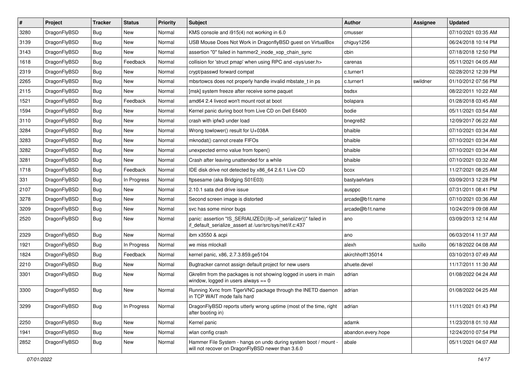| $\vert$ # | Project      | <b>Tracker</b> | <b>Status</b> | <b>Priority</b> | <b>Subject</b>                                                                                                               | <b>Author</b>      | Assignee | <b>Updated</b>      |
|-----------|--------------|----------------|---------------|-----------------|------------------------------------------------------------------------------------------------------------------------------|--------------------|----------|---------------------|
| 3280      | DragonFlyBSD | <b>Bug</b>     | New           | Normal          | KMS console and i915(4) not working in 6.0                                                                                   | cmusser            |          | 07/10/2021 03:35 AM |
| 3139      | DragonFlyBSD | Bug            | <b>New</b>    | Normal          | USB Mouse Does Not Work in DragonflyBSD guest on VirtualBox                                                                  | chiguy1256         |          | 06/24/2018 10:14 PM |
| 3143      | DragonFlyBSD | <b>Bug</b>     | New           | Normal          | assertion "0" failed in hammer2 inode xop chain sync                                                                         | cbin               |          | 07/18/2018 12:50 PM |
| 1618      | DragonFlyBSD | Bug            | Feedback      | Normal          | collision for 'struct pmap' when using RPC and <sys user.h=""></sys>                                                         | carenas            |          | 05/11/2021 04:05 AM |
| 2319      | DragonFlyBSD | <b>Bug</b>     | <b>New</b>    | Normal          | crypt/passwd forward compat                                                                                                  | c.turner1          |          | 02/28/2012 12:39 PM |
| 2265      | DragonFlyBSD | Bug            | New           | Normal          | mbsrtowcs does not properly handle invalid mbstate t in ps                                                                   | c.turner1          | swildner | 01/10/2012 07:56 PM |
| 2115      | DragonFlyBSD | Bug            | <b>New</b>    | Normal          | [msk] system freeze after receive some paquet                                                                                | bsdsx              |          | 08/22/2011 10:22 AM |
| 1521      | DragonFlyBSD | <b>Bug</b>     | Feedback      | Normal          | amd64 2.4 livecd won't mount root at boot                                                                                    | bolapara           |          | 01/28/2018 03:45 AM |
| 1594      | DragonFlyBSD | Bug            | New           | Normal          | Kernel panic during boot from Live CD on Dell E6400                                                                          | bodie              |          | 05/11/2021 03:54 AM |
| 3110      | DragonFlyBSD | Bug            | <b>New</b>    | Normal          | crash with ipfw3 under load                                                                                                  | bnegre82           |          | 12/09/2017 06:22 AM |
| 3284      | DragonFlyBSD | <b>Bug</b>     | <b>New</b>    | Normal          | Wrong towlower() result for U+038A                                                                                           | bhaible            |          | 07/10/2021 03:34 AM |
| 3283      | DragonFlyBSD | Bug            | <b>New</b>    | Normal          | mknodat() cannot create FIFOs                                                                                                | bhaible            |          | 07/10/2021 03:34 AM |
| 3282      | DragonFlyBSD | <b>Bug</b>     | New           | Normal          | unexpected errno value from fopen()                                                                                          | bhaible            |          | 07/10/2021 03:34 AM |
| 3281      | DragonFlyBSD | <b>Bug</b>     | New           | Normal          | Crash after leaving unattended for a while                                                                                   | bhaible            |          | 07/10/2021 03:32 AM |
| 1718      | DragonFlyBSD | <b>Bug</b>     | Feedback      | Normal          | IDE disk drive not detected by x86_64 2.6.1 Live CD                                                                          | bcox               |          | 11/27/2021 08:25 AM |
| 331       | DragonFlyBSD | <b>Bug</b>     | In Progress   | Normal          | ftpsesame (aka Bridging S01E03)                                                                                              | bastyaelvtars      |          | 03/09/2013 12:28 PM |
| 2107      | DragonFlyBSD | Bug            | New           | Normal          | 2.10.1 sata dvd drive issue                                                                                                  | ausppc             |          | 07/31/2011 08:41 PM |
| 3278      | DragonFlyBSD | <b>Bug</b>     | <b>New</b>    | Normal          | Second screen image is distorted                                                                                             | arcade@b1t.name    |          | 07/10/2021 03:36 AM |
| 3209      | DragonFlyBSD | <b>Bug</b>     | New           | Normal          | svc has some minor bugs                                                                                                      | arcade@b1t.name    |          | 10/24/2019 09:08 AM |
| 2520      | DragonFlyBSD | Bug            | New           | Normal          | panic: assertion "IS_SERIALIZED((ifp->if_serializer))" failed in<br>if default serialize assert at /usr/src/sys/net/if.c:437 | ano                |          | 03/09/2013 12:14 AM |
| 2329      | DragonFlyBSD | Bug            | New           | Normal          | ibm x3550 & acpi                                                                                                             | ano                |          | 06/03/2014 11:37 AM |
| 1921      | DragonFlyBSD | <b>Bug</b>     | In Progress   | Normal          | we miss mlockall                                                                                                             | alexh              | tuxillo  | 06/18/2022 04:08 AM |
| 1824      | DragonFlyBSD | Bug            | Feedback      | Normal          | kernel panic, x86, 2.7.3.859.ge5104                                                                                          | akirchhoff135014   |          | 03/10/2013 07:49 AM |
| 2210      | DragonFlyBSD | Bug            | New           | Normal          | Bugtracker cannot assign default project for new users                                                                       | ahuete.devel       |          | 11/17/2011 11:30 AM |
| 3301      | DragonFlyBSD | Bug            | New           | Normal          | Gkrellm from the packages is not showing logged in users in main<br>window, logged in users always $== 0$                    | adrian             |          | 01/08/2022 04:24 AM |
| 3300      | DragonFlyBSD | Bug            | <b>New</b>    | Normal          | Running Xvnc from TigerVNC package through the INETD daemon<br>in TCP WAIT mode fails hard                                   | adrian             |          | 01/08/2022 04:25 AM |
| 3299      | DragonFlyBSD | Bug            | In Progress   | Normal          | DragonFlyBSD reports utterly wrong uptime (most of the time, right<br>after booting in)                                      | adrian             |          | 11/11/2021 01:43 PM |
| 2250      | DragonFlyBSD | Bug            | New           | Normal          | Kernel panic                                                                                                                 | adamk              |          | 11/23/2018 01:10 AM |
| 1941      | DragonFlyBSD | <b>Bug</b>     | New           | Normal          | wlan config crash                                                                                                            | abandon.every.hope |          | 12/24/2010 07:54 PM |
| 2852      | DragonFlyBSD | Bug            | New           | Normal          | Hammer File System - hangs on undo during system boot / mount -<br>will not recover on DragonFlyBSD newer than 3.6.0         | abale              |          | 05/11/2021 04:07 AM |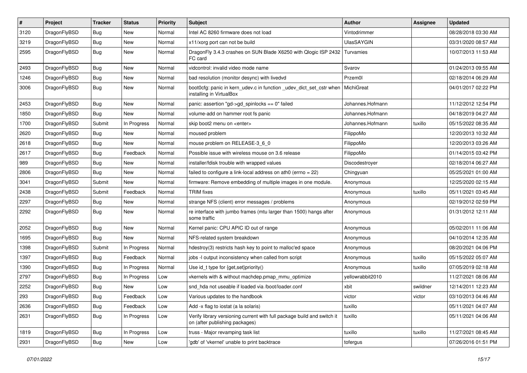| $\sharp$ | Project      | <b>Tracker</b> | <b>Status</b> | <b>Priority</b> | Subject                                                                                                   | <b>Author</b>     | Assignee | <b>Updated</b>      |
|----------|--------------|----------------|---------------|-----------------|-----------------------------------------------------------------------------------------------------------|-------------------|----------|---------------------|
| 3120     | DragonFlyBSD | <b>Bug</b>     | <b>New</b>    | Normal          | Intel AC 8260 firmware does not load                                                                      | Vintodrimmer      |          | 08/28/2018 03:30 AM |
| 3219     | DragonFlyBSD | <b>Bug</b>     | New           | Normal          | x11/xorg port can not be build                                                                            | <b>UlasSAYGIN</b> |          | 03/31/2020 08:57 AM |
| 2595     | DragonFlyBSD | Bug            | New           | Normal          | DragonFly 3.4.3 crashes on SUN Blade X6250 with Qlogic ISP 2432<br>FC card                                | Turvamies         |          | 10/07/2013 11:53 AM |
| 2493     | DragonFlyBSD | Bug            | New           | Normal          | vidcontrol: invalid video mode name                                                                       | Svarov            |          | 01/24/2013 09:55 AM |
| 1246     | DragonFlyBSD | <b>Bug</b>     | New           | Normal          | bad resolution (monitor desync) with livedvd                                                              | Przem0l           |          | 02/18/2014 06:29 AM |
| 3006     | DragonFlyBSD | <b>Bug</b>     | <b>New</b>    | Normal          | boot0cfg: panic in kern_udev.c in function _udev_dict_set_cstr when<br>installing in VirtualBox           | MichiGreat        |          | 04/01/2017 02:22 PM |
| 2453     | DragonFlyBSD | Bug            | <b>New</b>    | Normal          | panic: assertion "gd->gd_spinlocks == 0" failed                                                           | Johannes.Hofmann  |          | 11/12/2012 12:54 PM |
| 1850     | DragonFlyBSD | Bug            | <b>New</b>    | Normal          | volume-add on hammer root fs panic                                                                        | Johannes.Hofmann  |          | 04/18/2019 04:27 AM |
| 1700     | DragonFlyBSD | Submit         | In Progress   | Normal          | skip boot2 menu on <enter></enter>                                                                        | Johannes.Hofmann  | tuxillo  | 05/15/2022 08:35 AM |
| 2620     | DragonFlyBSD | <b>Bug</b>     | <b>New</b>    | Normal          | moused problem                                                                                            | FilippoMo         |          | 12/20/2013 10:32 AM |
| 2618     | DragonFlyBSD | <b>Bug</b>     | New           | Normal          | mouse problem on RELEASE-3_6_0                                                                            | FilippoMo         |          | 12/20/2013 03:26 AM |
| 2617     | DragonFlyBSD | <b>Bug</b>     | Feedback      | Normal          | Possible issue with wireless mouse on 3.6 release                                                         | FilippoMo         |          | 01/14/2015 03:42 PM |
| 989      | DragonFlyBSD | Bug            | New           | Normal          | installer/fdisk trouble with wrapped values                                                               | Discodestroyer    |          | 02/18/2014 06:27 AM |
| 2806     | DragonFlyBSD | <b>Bug</b>     | New           | Normal          | failed to configure a link-local address on ath0 (errno = $22$ )                                          | Chingyuan         |          | 05/25/2021 01:00 AM |
| 3041     | DragonFlyBSD | Submit         | <b>New</b>    | Normal          | firmware: Remove embedding of multiple images in one module.                                              | Anonymous         |          | 12/25/2020 02:15 AM |
| 2438     | DragonFlyBSD | Submit         | Feedback      | Normal          | <b>TRIM</b> fixes                                                                                         | Anonymous         | tuxillo  | 05/11/2021 03:45 AM |
| 2297     | DragonFlyBSD | <b>Bug</b>     | <b>New</b>    | Normal          | strange NFS (client) error messages / problems                                                            | Anonymous         |          | 02/19/2012 02:59 PM |
| 2292     | DragonFlyBSD | <b>Bug</b>     | New           | Normal          | re interface with jumbo frames (mtu larger than 1500) hangs after<br>some traffic                         | Anonymous         |          | 01/31/2012 12:11 AM |
| 2052     | DragonFlyBSD | Bug            | New           | Normal          | Kernel panic: CPU APIC ID out of range                                                                    | Anonymous         |          | 05/02/2011 11:06 AM |
| 1695     | DragonFlyBSD | Bug            | <b>New</b>    | Normal          | NFS-related system breakdown                                                                              | Anonymous         |          | 04/10/2014 12:35 AM |
| 1398     | DragonFlyBSD | Submit         | In Progress   | Normal          | hdestroy(3) restricts hash key to point to malloc'ed space                                                | Anonymous         |          | 08/20/2021 04:06 PM |
| 1397     | DragonFlyBSD | Bug            | Feedback      | Normal          | jobs -I output inconsistency when called from script                                                      | Anonymous         | tuxillo  | 05/15/2022 05:07 AM |
| 1390     | DragonFlyBSD | <b>Bug</b>     | In Progress   | Normal          | Use id_t type for {get,set}priority()                                                                     | Anonymous         | tuxillo  | 07/05/2019 02:18 AM |
| 2797     | DragonFlyBSD | <b>Bug</b>     | In Progress   | Low             | vkernels with & without machdep.pmap_mmu_optimize                                                         | yellowrabbit2010  |          | 11/27/2021 08:06 AM |
| 2252     | DragonFlyBSD | Bug            | New           | Low             | snd_hda not useable if loaded via /boot/loader.conf                                                       | xbit              | swildner | 12/14/2011 12:23 AM |
| 293      | DragonFlyBSD | Bug            | Feedback      | Low             | Various updates to the handbook                                                                           | victor            | victor   | 03/10/2013 04:46 AM |
| 2636     | DragonFlyBSD | <b>Bug</b>     | Feedback      | Low             | Add -x flag to iostat (a la solaris)                                                                      | tuxillo           |          | 05/11/2021 04:07 AM |
| 2631     | DragonFlyBSD | <b>Bug</b>     | In Progress   | Low             | Verify library versioning current with full package build and switch it<br>on (after publishing packages) | tuxillo           |          | 05/11/2021 04:06 AM |
| 1819     | DragonFlyBSD | <b>Bug</b>     | In Progress   | Low             | truss - Major revamping task list                                                                         | tuxillo           | tuxillo  | 11/27/2021 08:45 AM |
| 2931     | DragonFlyBSD | <b>Bug</b>     | New           | Low             | 'gdb' of 'vkernel' unable to print backtrace                                                              | tofergus          |          | 07/26/2016 01:51 PM |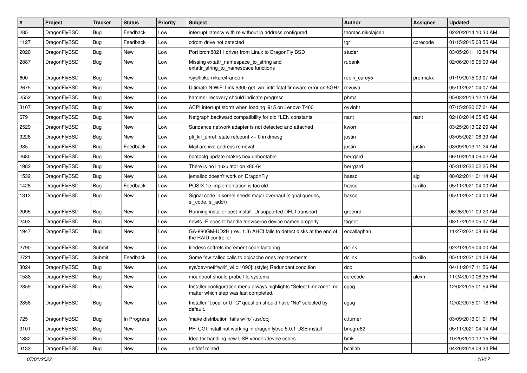| #    | Project      | <b>Tracker</b> | <b>Status</b> | <b>Priority</b> | Subject                                                                                                       | <b>Author</b>     | Assignee | <b>Updated</b>      |
|------|--------------|----------------|---------------|-----------------|---------------------------------------------------------------------------------------------------------------|-------------------|----------|---------------------|
| 285  | DragonFlyBSD | <b>Bug</b>     | Feedback      | Low             | interrupt latency with re without ip address configured                                                       | thomas.nikolajsen |          | 02/20/2014 10:30 AM |
| 1127 | DragonFlyBSD | Bug            | Feedback      | Low             | cdrom drive not detected                                                                                      | tgr               | corecode | 01/15/2015 08:55 AM |
| 2020 | DragonFlyBSD | <b>Bug</b>     | <b>New</b>    | Low             | Port brcm80211 driver from Linux to DragonFly BSD                                                             | studer            |          | 03/05/2011 10:54 PM |
| 2887 | DragonFlyBSD | <b>Bug</b>     | <b>New</b>    | Low             | Missing extattr_namespace_to_string and<br>extattr_string_to_namespace functions                              | rubenk            |          | 02/06/2016 05:09 AM |
| 600  | DragonFlyBSD | Bug            | New           | Low             | /sys/libkern/karc4random                                                                                      | robin carey5      | profmakx | 01/19/2015 03:07 AM |
| 2675 | DragonFlyBSD | <b>Bug</b>     | <b>New</b>    | Low             | Ultimate N WiFi Link 5300 get iwn_intr: fatal firmware error on 5GHz                                          | revuwa            |          | 05/11/2021 04:07 AM |
| 2552 | DragonFlyBSD | <b>Bug</b>     | New           | Low             | hammer recovery should indicate progress                                                                      | phma              |          | 05/03/2013 12:13 AM |
| 3107 | DragonFlyBSD | <b>Bug</b>     | New           | Low             | ACPI interrupt storm when loading i915 on Lenovo T460                                                         | oyvinht           |          | 07/15/2020 07:01 AM |
| 679  | DragonFlyBSD | Bug            | <b>New</b>    | Low             | Netgraph backward compatibility for old *LEN constants                                                        | nant              | nant     | 02/18/2014 05:45 AM |
| 2529 | DragonFlyBSD | <b>Bug</b>     | New           | Low             | Sundance network adapter is not detected and attached                                                         | kworr             |          | 03/25/2013 02:29 AM |
| 3228 | DragonFlyBSD | <b>Bug</b>     | New           | Low             | pfi kif unref: state refcount $\leq$ 0 in dmesg                                                               | justin            |          | 03/05/2021 06:39 AM |
| 385  | DragonFlyBSD | <b>Bug</b>     | Feedback      | Low             | Mail archive address removal                                                                                  | justin            | justin   | 03/09/2013 11:24 AM |
| 2680 | DragonFlyBSD | <b>Bug</b>     | New           | Low             | boot0cfg update makes box unbootable                                                                          | herrgard          |          | 06/10/2014 06:02 AM |
| 1982 | DragonFlyBSD | Bug            | New           | Low             | There is no linuxulator on x86-64                                                                             | herrgard          |          | 05/31/2022 02:25 PM |
| 1532 | DragonFlyBSD | <b>Bug</b>     | <b>New</b>    | Low             | jemalloc doesn't work on DragonFly                                                                            | hasso             | sjg      | 08/02/2011 01:14 AM |
| 1428 | DragonFlyBSD | <b>Bug</b>     | Feedback      | Low             | POSIX.1e implementation is too old                                                                            | hasso             | tuxillo  | 05/11/2021 04:00 AM |
| 1313 | DragonFlyBSD | Bug            | New           | Low             | Signal code in kernel needs major overhaul (signal queues,<br>si code, si addr)                               | hasso             |          | 05/11/2021 04:00 AM |
| 2095 | DragonFlyBSD | Bug            | New           | Low             | Running installer post-install: Unsupported DFUI transport "                                                  | greenrd           |          | 06/26/2011 09:20 AM |
| 2403 | DragonFlyBSD | <b>Bug</b>     | New           | Low             | newfs -E doesn't handle /dev/serno device names properly                                                      | ftigeot           |          | 08/17/2012 05:07 AM |
| 1947 | DragonFlyBSD | <b>Bug</b>     | New           | Low             | GA-880GM-UD2H (rev. 1.3) AHCI fails to detect disks at the end of<br>the RAID controller                      | eocallaghan       |          | 11/27/2021 08:46 AM |
| 2790 | DragonFlyBSD | Submit         | <b>New</b>    | Low             | filedesc softrefs increment code factoring                                                                    | dclink            |          | 02/21/2015 04:00 AM |
| 2721 | DragonFlyBSD | Submit         | Feedback      | Low             | Some few zalloc calls to objcache ones replacements                                                           | dclink            | tuxillo  | 05/11/2021 04:08 AM |
| 3024 | DragonFlyBSD | Bug            | New           | Low             | sys/dev/netif/wi/if_wi.c:1090]: (style) Redundant condition                                                   | dcb               |          | 04/11/2017 11:56 AM |
| 1538 | DragonFlyBSD | <b>Bug</b>     | New           | Low             | mountroot should probe file systems                                                                           | corecode          | alexh    | 11/24/2010 06:35 PM |
| 2859 | DragonFlyBSD | <b>Bug</b>     | New           | Low             | Installer configuration menu always highlights "Select timezone", no<br>matter which step was last completed. | cgag              |          | 12/02/2015 01:54 PM |
| 2858 | DragonFlyBSD | Bug            | New           | Low             | Installer "Local or UTC" question should have "No" selected by<br>default.                                    | cgag              |          | 12/02/2015 01:18 PM |
| 725  | DragonFlyBSD | <b>Bug</b>     | In Progress   | Low             | 'make distribution' fails w/'ro' /usr/obj                                                                     | c.turner          |          | 03/09/2013 01:01 PM |
| 3101 | DragonFlyBSD | <b>Bug</b>     | New           | Low             | PFI CGI install not working in dragonflybsd 5.0.1 USB install                                                 | bnegre82          |          | 05/11/2021 04:14 AM |
| 1882 | DragonFlyBSD | <b>Bug</b>     | <b>New</b>    | Low             | Idea for handling new USB vendor/device codes                                                                 | bmk               |          | 10/20/2010 12:15 PM |
| 3132 | DragonFlyBSD | <b>Bug</b>     | New           | Low             | unifdef mined                                                                                                 | bcallah           |          | 04/26/2018 08:34 PM |